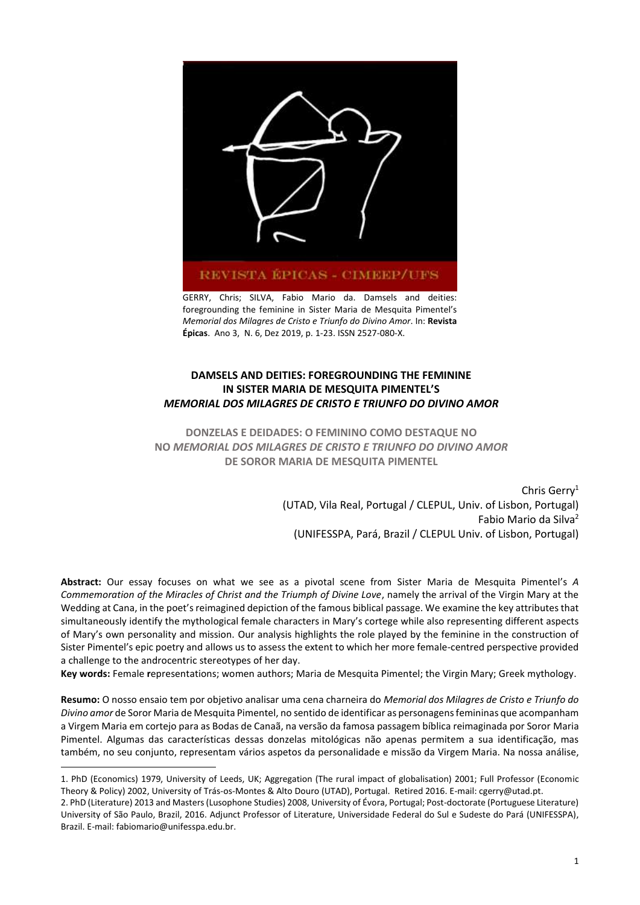

GERRY, Chris; SILVA, Fabio Mario da. Damsels and deities: foregrounding the feminine in Sister Maria de Mesquita Pimentel's *Memorial dos Milagres de Cristo e Triunfo do Divino Amor*. In: **Revista Épicas**. Ano 3, N. 6, Dez 2019, p. 1-23. ISSN 2527-080-X.

# **DAMSELS AND DEITIES: FOREGROUNDING THE FEMININE IN SISTER MARIA DE MESQUITA PIMENTEL'S**  *MEMORIAL DOS MILAGRES DE CRISTO E TRIUNFO DO DIVINO AMOR*

**DONZELAS E DEIDADES: O FEMININO COMO DESTAQUE NO NO** *MEMORIAL DOS MILAGRES DE CRISTO E TRIUNFO DO DIVINO AMOR* **DE SOROR MARIA DE MESQUITA PIMENTEL**

> Chris Gerry<sup>1</sup> (UTAD, Vila Real, Portugal / CLEPUL, Univ. of Lisbon, Portugal) Fabio Mario da Silva<sup>2</sup> (UNIFESSPA, Pará, Brazil / CLEPUL Univ. of Lisbon, Portugal)

**Abstract:** Our essay focuses on what we see as a pivotal scene from Sister Maria de Mesquita Pimentel's *A Commemoration of the Miracles of Christ and the Triumph of Divine Love*, namely the arrival of the Virgin Mary at the Wedding at Cana, in the poet's reimagined depiction of the famous biblical passage. We examine the key attributes that simultaneously identify the mythological female characters in Mary's cortege while also representing different aspects of Mary's own personality and mission. Our analysis highlights the role played by the feminine in the construction of Sister Pimentel's epic poetry and allows us to assess the extent to which her more female-centred perspective provided a challenge to the androcentric stereotypes of her day.

**Key words:** Female **r**epresentations; women authors; Maria de Mesquita Pimentel; the Virgin Mary; Greek mythology.

**Resumo:** O nosso ensaio tem por objetivo analisar uma cena charneira do *Memorial dos Milagres de Cristo e Triunfo do Divino amor* de Soror Maria de Mesquita Pimentel, no sentido de identificar as personagens femininas que acompanham a Virgem Maria em cortejo para as Bodas de Canaã, na versão da famosa passagem bíblica reimaginada por Soror Maria Pimentel. Algumas das características dessas donzelas mitológicas não apenas permitem a sua identificação, mas também, no seu conjunto, representam vários aspetos da personalidade e missão da Virgem Maria. Na nossa análise,

1

<sup>1.</sup> PhD (Economics) 1979, University of Leeds, UK; Aggregation (The rural impact of globalisation) 2001; Full Professor (Economic Theory & Policy) 2002, University of Trás-os-Montes & Alto Douro (UTAD), Portugal. Retired 2016. E-mail: cgerry@utad.pt.

<sup>2.</sup> PhD (Literature) 2013 and Masters (Lusophone Studies) 2008, University of Évora, Portugal; Post-doctorate (Portuguese Literature) University of São Paulo, Brazil, 2016. Adjunct Professor of Literature, Universidade Federal do Sul e Sudeste do Pará (UNIFESSPA), Brazil. E-mail[: fabiomario@unifesspa.edu.br.](mailto:fabiomario@unifesspa.edu.br)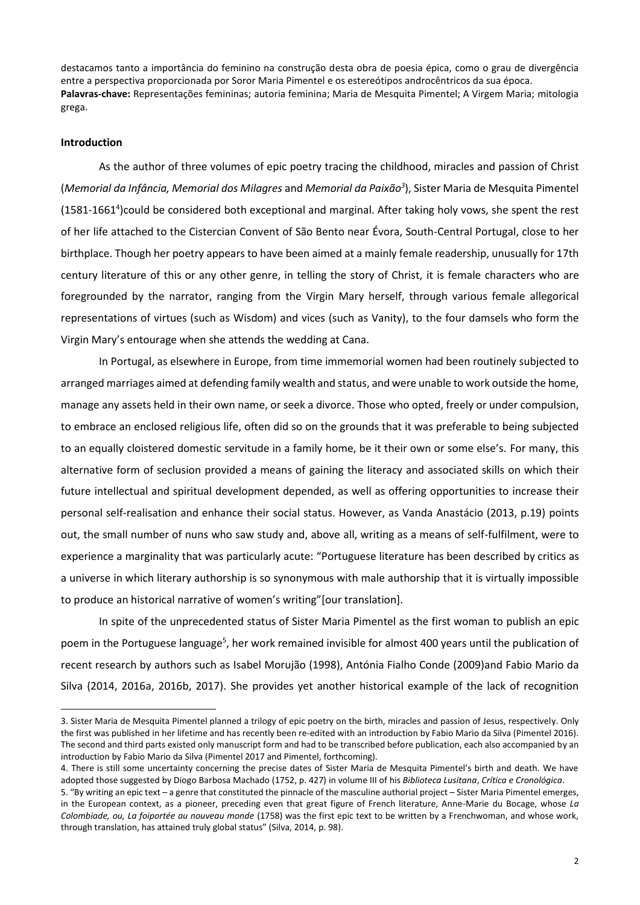destacamos tanto a importância do feminino na construção desta obra de poesia épica, como o grau de divergência entre a perspectiva proporcionada por Soror Maria Pimentel e os estereótipos androcêntricos da sua época. **Palavras-chave:** Representações femininas; autoria feminina; Maria de Mesquita Pimentel; A Virgem Maria; mitologia grega.

#### **Introduction**

1

As the author of three volumes of epic poetry tracing the childhood, miracles and passion of Christ (*Memorial da Infância, Memorial dos Milagres* and *Memorial da Paixão<sup>3</sup>* ), Sister Maria de Mesquita Pimentel (1581-1661 4 )could be considered both exceptional and marginal. After taking holy vows, she spent the rest of her life attached to the Cistercian Convent of São Bento near Évora, South-Central Portugal, close to her birthplace. Though her poetry appears to have been aimed at a mainly female readership, unusually for 17th century literature of this or any other genre, in telling the story of Christ, it is female characters who are foregrounded by the narrator, ranging from the Virgin Mary herself, through various female allegorical representations of virtues (such as Wisdom) and vices (such as Vanity), to the four damsels who form the Virgin Mary's entourage when she attends the wedding at Cana.

In Portugal, as elsewhere in Europe, from time immemorial women had been routinely subjected to arranged marriages aimed at defending family wealth and status, and were unable to work outside the home, manage any assets held in their own name, or seek a divorce. Those who opted, freely or under compulsion, to embrace an enclosed religious life, often did so on the grounds that it was preferable to being subjected to an equally cloistered domestic servitude in a family home, be it their own or some else's. For many, this alternative form of seclusion provided a means of gaining the literacy and associated skills on which their future intellectual and spiritual development depended, as well as offering opportunities to increase their personal self-realisation and enhance their social status. However, as Vanda Anastácio (2013, p.19) points out, the small number of nuns who saw study and, above all, writing as a means of self-fulfilment, were to experience a marginality that was particularly acute: "Portuguese literature has been described by critics as a universe in which literary authorship is so synonymous with male authorship that it is virtually impossible to produce an historical narrative of women's writing"[our translation].

In spite of the unprecedented status of Sister Maria Pimentel as the first woman to publish an epic poem in the Portuguese language<sup>5</sup>, her work remained invisible for almost 400 years until the publication of recent research by authors such as Isabel Morujão (1998), Antónia Fialho Conde (2009)and Fabio Mario da Silva (2014, 2016a, 2016b, 2017). She provides yet another historical example of the lack of recognition

<sup>3.</sup> Sister Maria de Mesquita Pimentel planned a trilogy of epic poetry on the birth, miracles and passion of Jesus, respectively. Only the first was published in her lifetime and has recently been re-edited with an introduction by Fabio Mario da Silva (Pimentel 2016). The second and third parts existed only manuscript form and had to be transcribed before publication, each also accompanied by an introduction by Fabio Mario da Silva (Pimentel 2017 and Pimentel, forthcoming).

<sup>4.</sup> There is still some uncertainty concerning the precise dates of Sister Maria de Mesquita Pimentel's birth and death. We have adopted those suggested by Diogo Barbosa Machado (1752, p. 427) in volume III of his *Biblioteca Lusitana*, *Crítica e Cronológica*.

<sup>5</sup>. "By writing an epic text – a genre that constituted the pinnacle of the masculine authorial project – Sister Maria Pimentel emerges, in the European context, as a pioneer, preceding even that great figure of French literature, Anne-Marie du Bocage, whose *La Colombiade, ou, La foiportée au nouveau monde* (1758) was the first epic text to be written by a Frenchwoman, and whose work, through translation, has attained truly global status" (Silva, 2014, p. 98).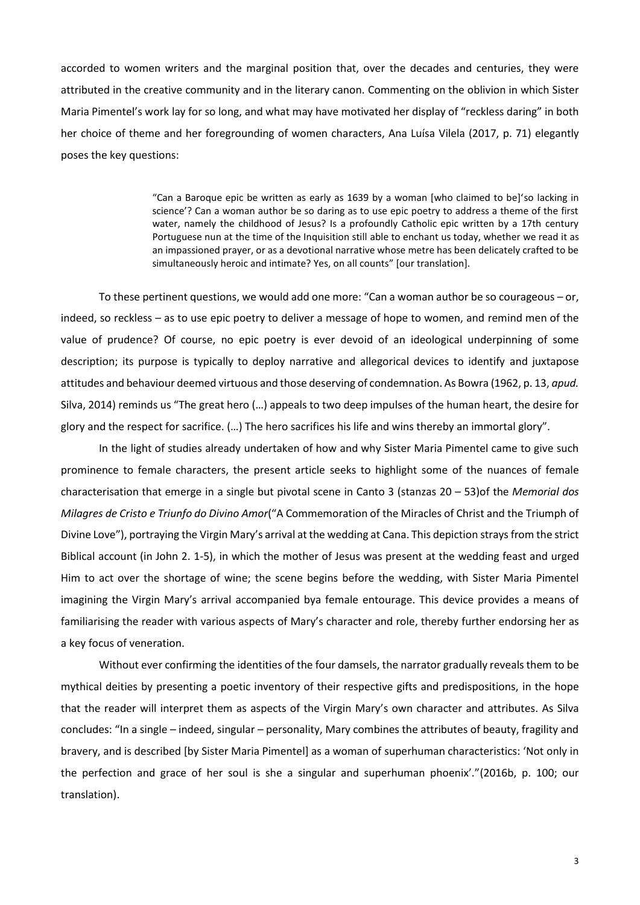accorded to women writers and the marginal position that, over the decades and centuries, they were attributed in the creative community and in the literary canon. Commenting on the oblivion in which Sister Maria Pimentel's work lay for so long, and what may have motivated her display of "reckless daring" in both her choice of theme and her foregrounding of women characters, Ana Luísa Vilela (2017, p. 71) elegantly poses the key questions:

> "Can a Baroque epic be written as early as 1639 by a woman [who claimed to be]'so lacking in science'? Can a woman author be so daring as to use epic poetry to address a theme of the first water, namely the childhood of Jesus? Is a profoundly Catholic epic written by a 17th century Portuguese nun at the time of the Inquisition still able to enchant us today, whether we read it as an impassioned prayer, or as a devotional narrative whose metre has been delicately crafted to be simultaneously heroic and intimate? Yes, on all counts" [our translation].

To these pertinent questions, we would add one more: "Can a woman author be so courageous – or, indeed, so reckless – as to use epic poetry to deliver a message of hope to women, and remind men of the value of prudence? Of course, no epic poetry is ever devoid of an ideological underpinning of some description; its purpose is typically to deploy narrative and allegorical devices to identify and juxtapose attitudes and behaviour deemed virtuous and those deserving of condemnation. As Bowra (1962, p. 13, *apud.* Silva, 2014) reminds us "The great hero (…) appeals to two deep impulses of the human heart, the desire for glory and the respect for sacrifice. (…) The hero sacrifices his life and wins thereby an immortal glory".

In the light of studies already undertaken of how and why Sister Maria Pimentel came to give such prominence to female characters, the present article seeks to highlight some of the nuances of female characterisation that emerge in a single but pivotal scene in Canto 3 (stanzas 20 – 53)of the *Memorial dos Milagres de Cristo e Triunfo do Divino Amor*("A Commemoration of the Miracles of Christ and the Triumph of Divine Love"), portraying the Virgin Mary's arrival at the wedding at Cana. This depiction strays from the strict Biblical account (in John 2. 1-5), in which the mother of Jesus was present at the wedding feast and urged Him to act over the shortage of wine; the scene begins before the wedding, with Sister Maria Pimentel imagining the Virgin Mary's arrival accompanied bya female entourage. This device provides a means of familiarising the reader with various aspects of Mary's character and role, thereby further endorsing her as a key focus of veneration.

Without ever confirming the identities of the four damsels, the narrator gradually reveals them to be mythical deities by presenting a poetic inventory of their respective gifts and predispositions, in the hope that the reader will interpret them as aspects of the Virgin Mary's own character and attributes. As Silva concludes: "In a single – indeed, singular – personality, Mary combines the attributes of beauty, fragility and bravery, and is described [by Sister Maria Pimentel] as a woman of superhuman characteristics: 'Not only in the perfection and grace of her soul is she a singular and superhuman phoenix'."(2016b, p. 100; our translation).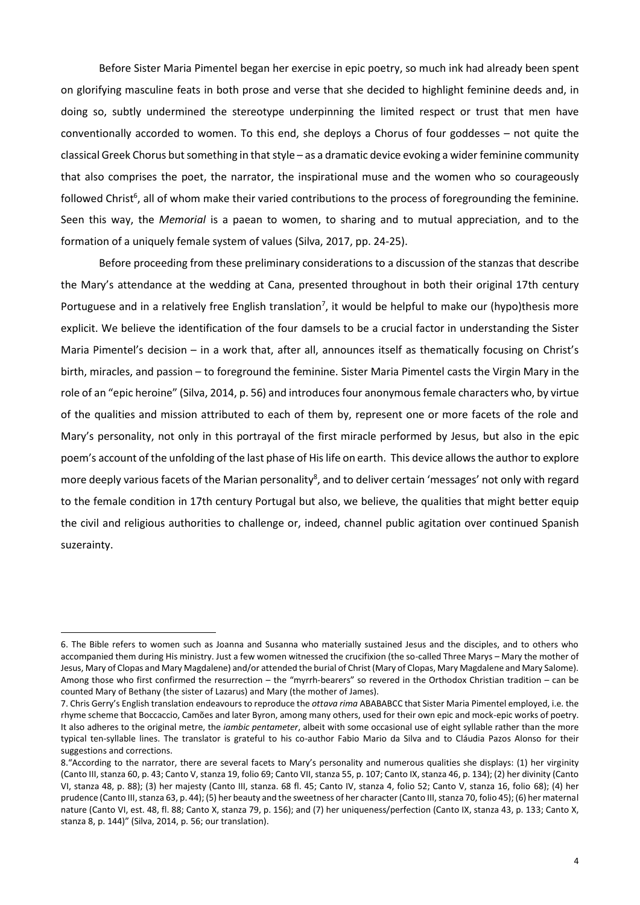Before Sister Maria Pimentel began her exercise in epic poetry, so much ink had already been spent on glorifying masculine feats in both prose and verse that she decided to highlight feminine deeds and, in doing so, subtly undermined the stereotype underpinning the limited respect or trust that men have conventionally accorded to women. To this end, she deploys a Chorus of four goddesses – not quite the classical Greek Chorus but something in that style – as a dramatic device evoking a wider feminine community that also comprises the poet, the narrator, the inspirational muse and the women who so courageously followed Christ<sup>6</sup>, all of whom make their varied contributions to the process of foregrounding the feminine. Seen this way, the *Memorial* is a paean to women, to sharing and to mutual appreciation, and to the formation of a uniquely female system of values (Silva, 2017, pp. 24-25).

Before proceeding from these preliminary considerations to a discussion of the stanzas that describe the Mary's attendance at the wedding at Cana, presented throughout in both their original 17th century Portuguese and in a relatively free English translation<sup>7</sup>, it would be helpful to make our (hypo)thesis more explicit. We believe the identification of the four damsels to be a crucial factor in understanding the Sister Maria Pimentel's decision – in a work that, after all, announces itself as thematically focusing on Christ's birth, miracles, and passion – to foreground the feminine. Sister Maria Pimentel casts the Virgin Mary in the role of an "epic heroine" (Silva, 2014, p. 56) and introduces four anonymous female characters who, by virtue of the qualities and mission attributed to each of them by, represent one or more facets of the role and Mary's personality, not only in this portrayal of the first miracle performed by Jesus, but also in the epic poem's account of the unfolding of the last phase of His life on earth. This device allows the author to explore more deeply various facets of the Marian personality<sup>8</sup>, and to deliver certain 'messages' not only with regard to the female condition in 17th century Portugal but also, we believe, the qualities that might better equip the civil and religious authorities to challenge or, indeed, channel public agitation over continued Spanish suzerainty.

<sup>6.</sup> The Bible refers to women such as Joanna and Susanna who materially sustained Jesus and the disciples, and to others who accompanied them during His ministry. Just a few women witnessed the crucifixion (the so-called Three Marys – Mary the mother of Jesus, Mary of Clopas and Mary Magdalene) and/or attended the burial of Christ (Mary of Clopas, Mary Magdalene and Mary Salome). Among those who first confirmed the resurrection – the "myrrh-bearers" so revered in the Orthodox Christian tradition – can be counted Mary of Bethany (the sister of Lazarus) and Mary (the mother of James).

<sup>7</sup>. Chris Gerry's English translation endeavours to reproduce the *ottava rima* ABABABCC that Sister Maria Pimentel employed, i.e. the rhyme scheme that Boccaccio, Camões and later Byron, among many others, used for their own epic and mock-epic works of poetry. It also adheres to the original metre, the *iambic pentameter*, albeit with some occasional use of eight syllable rather than the more typical ten-syllable lines. The translator is grateful to his co-author Fabio Mario da Silva and to Cláudia Pazos Alonso for their suggestions and corrections.

<sup>8</sup>."According to the narrator, there are several facets to Mary's personality and numerous qualities she displays: (1) her virginity (Canto III, stanza 60, p. 43; Canto V, stanza 19, folio 69; Canto VII, stanza 55, p. 107; Canto IX, stanza 46, p. 134); (2) her divinity (Canto VI, stanza 48, p. 88); (3) her majesty (Canto III, stanza. 68 fl. 45; Canto IV, stanza 4, folio 52; Canto V, stanza 16, folio 68); (4) her prudence (Canto III, stanza 63, p. 44); (5) her beauty and the sweetness of her character (Canto III, stanza 70, folio 45); (6) her maternal nature (Canto VI, est. 48, fl. 88; Canto X, stanza 79, p. 156); and (7) her uniqueness/perfection (Canto IX, stanza 43, p. 133; Canto X, stanza 8, p. 144)" (Silva, 2014, p. 56; our translation).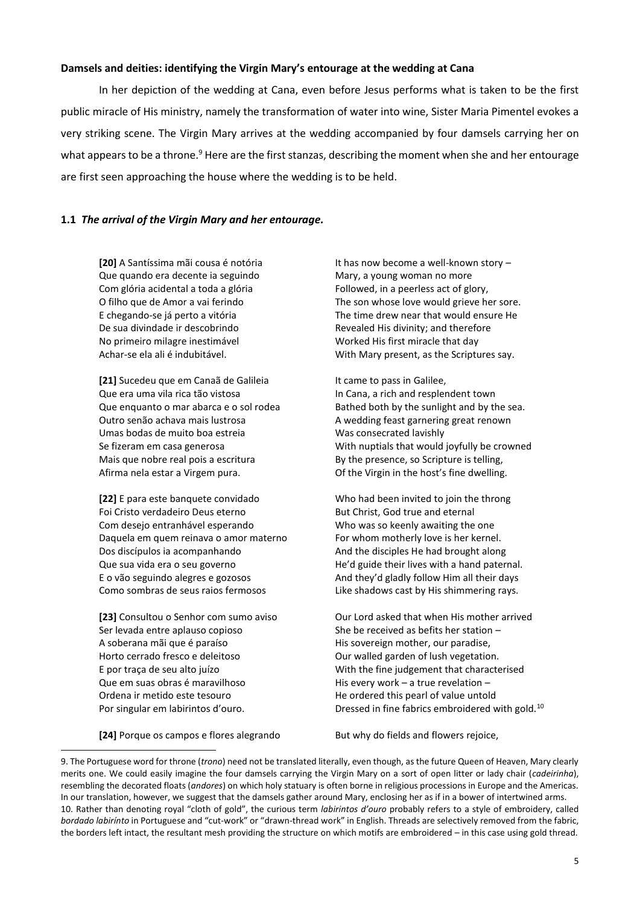### **Damsels and deities: identifying the Virgin Mary's entourage at the wedding at Cana**

In her depiction of the wedding at Cana, even before Jesus performs what is taken to be the first public miracle of His ministry, namely the transformation of water into wine, Sister Maria Pimentel evokes a very striking scene. The Virgin Mary arrives at the wedding accompanied by four damsels carrying her on what appears to be a throne.<sup>9</sup> Here are the first stanzas, describing the moment when she and her entourage are first seen approaching the house where the wedding is to be held.

## **1.1** *The arrival of the Virgin Mary and her entourage.*

**[20]** A Santíssima mãi cousa é notória **It has now become a well-known story –** Que quando era decente ia seguindo Mary, a young woman no more Com glória acidental a toda a glória Followed, in a peerless act of glory, De sua divindade ir descobrindo Revealed His divinity; and therefore No primeiro milagre inestimável Worked His first miracle that day

[21] Sucedeu que em Canaã de Galileia It came to pass in Galilee, Que era uma vila rica tão vistosa In Cana, a rich and resplendent town Outro senão achava mais lustrosa and a subset of A wedding feast garnering great renown Umas bodas de muito boa estreia Was consecrated lavishly Mais que nobre real pois a escritura By the presence, so Scripture is telling, Afirma nela estar a Virgem pura. Of the Virgin in the host's fine dwelling.

Foi Cristo verdadeiro Deus eterno But Christ, God true and eternal Com desejo entranhável esperando Who was so keenly awaiting the one Daquela em quem reinava o amor materno For whom motherly love is her kernel. Dos discípulos ia acompanhando And the disciples He had brought along E o vão seguindo alegres e gozosos And they'd gladly follow Him all their days Como sombras de seus raios fermosos Like shadows cast by His shimmering rays.

Ser levada entre aplauso copioso She be received as befits her station – A soberana mãi que é paraíso entra entrar en His sovereign mother, our paradise, Horto cerrado fresco e deleitoso **Calculario Contravellato Contravellato Contravel** Our walled garden of lush vegetation. Que em suas obras é maravilhoso entra en entrar His every work – a true revelation – Ordena ir metido este tesouro He ordered this pearl of value untold

O filho que de Amor a vai ferindo The son whose love would grieve her sore. E chegando-se já perto a vitória The time drew near that would ensure He Achar-se ela ali é indubitável. With Mary present, as the Scriptures say.

Que enquanto o mar abarca e o sol rodea Bathed both by the sunlight and by the sea. Se fizeram em casa generosa With nuptials that would joyfully be crowned

**[22]** E para este banquete convidado Who had been invited to join the throng Que sua vida era o seu governo error entity and the He'd guide their lives with a hand paternal.

[23] Consultou o Senhor com sumo aviso **Our Lord asked that when His mother arrived** E por traça de seu alto juízo With the fine judgement that characterised Por singular em labirintos d'ouro. Dressed in fine fabrics embroidered with gold.<sup>10</sup>

**[24]** Porque os campos e flores alegrando But why do fields and flowers rejoice,

1

<sup>9.</sup> The Portuguese word for throne (*trono*) need not be translated literally, even though, as the future Queen of Heaven, Mary clearly merits one. We could easily imagine the four damsels carrying the Virgin Mary on a sort of open litter or lady chair (*cadeirinha*), resembling the decorated floats (*andores*) on which holy statuary is often borne in religious processions in Europe and the Americas. In our translation, however, we suggest that the damsels gather around Mary, enclosing her as if in a bower of intertwined arms. 10. Rather than denoting royal "cloth of gold", the curious term *labirintos d'ouro* probably refers to a style of embroidery, called *bordado labirínto* in Portuguese and "cut-work" or "drawn-thread work" in English. Threads are selectively removed from the fabric, the borders left intact, the resultant mesh providing the structure on which motifs are embroidered – in this case using gold thread.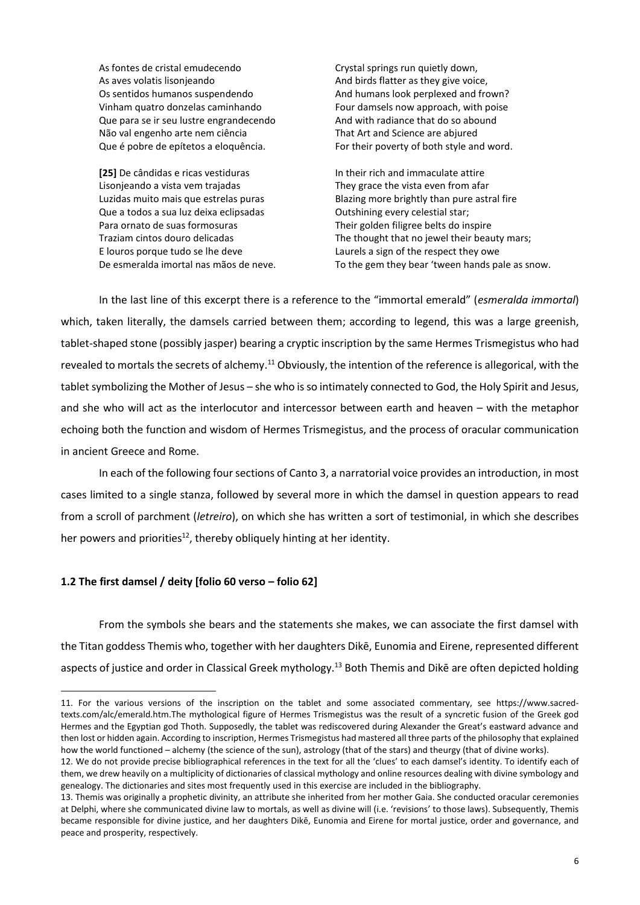As fontes de cristal emudecendo Crystal springs run quietly down, As aves volatis lisonjeando and birds flatter as they give voice, Os sentidos humanos suspendendo And humans look perplexed and frown? Vinham quatro donzelas caminhando Four damsels now approach, with poise Que para se ir seu lustre engrandecendo And with radiance that do so abound Não val engenho arte nem ciência That Art and Science are abjured Que é pobre de epítetos a eloquência. For their poverty of both style and word.

[25] De cândidas e ricas vestiduras **In their rich and immaculate attire** Lisonjeando a vista vem trajadas They grace the vista even from afar Que a todos a sua luz deixa eclipsadas **Outshining every celestial star**; Para ornato de suas formosuras Their golden filigree belts do inspire E louros porque tudo se lhe deve Laurels a sign of the respect they owe

Luzidas muito mais que estrelas puras Blazing more brightly than pure astral fire Traziam cintos douro delicadas The thought that no jewel their beauty mars; De esmeralda imortal nas mãos de neve. To the gem they bear 'tween hands pale as snow.

In the last line of this excerpt there is a reference to the "immortal emerald" (*esmeralda immortal*) which, taken literally, the damsels carried between them; according to legend, this was a large greenish, tablet-shaped stone (possibly jasper) bearing a cryptic inscription by the same Hermes Trismegistus who had revealed to mortals the secrets of alchemy.<sup>11</sup> Obviously, the intention of the reference is allegorical, with the tablet symbolizing the Mother of Jesus – she who is so intimately connected to God, the Holy Spirit and Jesus, and she who will act as the interlocutor and intercessor between earth and heaven – with the metaphor echoing both the function and wisdom of Hermes Trismegistus, and the process of oracular communication in ancient Greece and Rome.

In each of the following four sections of Canto 3, a narratorial voice provides an introduction, in most cases limited to a single stanza, followed by several more in which the damsel in question appears to read from a scroll of parchment (*letreiro*), on which she has written a sort of testimonial, in which she describes her powers and priorities<sup>12</sup>, thereby obliquely hinting at her identity.

# **1.2 The first damsel / deity [folio 60 verso – folio 62]**

From the symbols she bears and the statements she makes, we can associate the first damsel with the Titan goddess Themis who, together with her daughters Dikē, Eunomia and Eirene, represented different aspects of justice and order in Classical Greek mythology.<sup>13</sup> Both Themis and Dike are often depicted holding

**<sup>.</sup>** 11. For the various versions of the inscription on the tablet and some associated commentary, see [https://www.sacred](https://www.sacred-texts.com/alc/emerald.htm)[texts.com/alc/emerald.htm.T](https://www.sacred-texts.com/alc/emerald.htm)he mythological figure of Hermes Trismegistus was the result of a syncretic fusion of the Greek god Hermes and the Egyptian god Thoth. Supposedly, the tablet was rediscovered during Alexander the Great's eastward advance and then lost or hidden again. According to inscription, Hermes Trismegistus had mastered all three parts of the philosophy that explained how the world functioned – alchemy (the science of the sun), astrology (that of the stars) and theurgy (that of divine works).

<sup>12</sup>. We do not provide precise bibliographical references in the text for all the 'clues' to each damsel's identity. To identify each of them, we drew heavily on a multiplicity of dictionaries of classical mythology and online resources dealing with divine symbology and genealogy. The dictionaries and sites most frequently used in this exercise are included in the bibliography.

<sup>13.</sup> Themis was originally a prophetic divinity, an attribute she inherited from her mother Gaia. She conducted oracular ceremonies at Delphi, where she communicated divine law to mortals, as well as divine will (i.e. 'revisions' to those laws). Subsequently, Themis became responsible for divine justice, and her daughters Dikē, Eunomia and Eirene for mortal justice, order and governance, and peace and prosperity, respectively.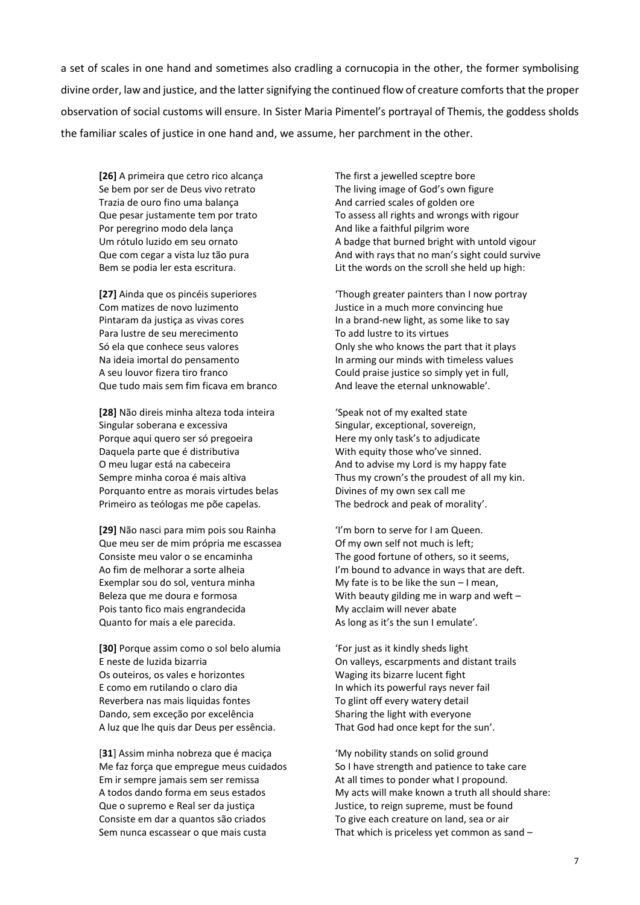a set of scales in one hand and sometimes also cradling a cornucopia in the other, the former symbolising divine order, law and justice, and the latter signifying the continued flow of creature comforts that the proper observation of social customs will ensure. In Sister Maria Pimentel's portrayal of Themis, the goddess sholds the familiar scales of justice in one hand and, we assume, her parchment in the other.

**[26]** A primeira que cetro rico alcança The first a jewelled sceptre bore Se bem por ser de Deus vivo retrato The living image of God's own figure Trazia de ouro fino uma balança entre a And carried scales of golden ore Por peregrino modo dela lança And like a faithful pilgrim wore

Com matizes de novo luzimento Justice in a much more convincing hue Para lustre de seu merecimento To add lustre to its virtues A seu louvor fizera tiro franco Could praise justice so simply yet in full, Que tudo mais sem fim ficava em branco And leave the eternal unknowable'.

**[28]** Não direis minha alteza toda inteira 'Speak not of my exalted state Singular soberana e excessiva Singular, exceptional, sovereign, Porque aqui quero ser só pregoeira Here my only task's to adjudicate Daquela parte que é distributiva With equity those who've sinned. O meu lugar está na cabeceira **And to advise my Lord is my happy fate** Porquanto entre as morais virtudes belas Divines of my own sex call me Primeiro as teólogas me põe capelas. The bedrock and peak of morality'.

**[29]** Não nasci para mim pois sou Rainha 'I'm born to serve for I am Queen. Que meu ser de mim própria me escassea Of my own self not much is left; Consiste meu valor o se encaminha The good fortune of others, so it seems, Exemplar sou do sol, ventura minha My fate is to be like the sun – I mean, Pois tanto fico mais engrandecida My acclaim will never abate Quanto for mais a ele parecida. As long as it's the sun I emulate'.

**[30]** Porque assim como o sol belo alumia 'For just as it kindly sheds light E neste de luzida bizarria On valleys, escarpments and distant trails Os outeiros, os vales e horizontes Waging its bizarre lucent fight E como em rutilando o claro dia In which its powerful rays never fail Reverbera nas mais liquidas fontes To glint off every watery detail Dando, sem exceção por excelência Sharing the light with everyone A luz que lhe quis dar Deus per essência. That God had once kept for the sun'.

[**31**] Assim minha nobreza que é maciça 'My nobility stands on solid ground Em ir sempre jamais sem ser remissa At all times to ponder what I propound. Que o supremo e Real ser da justiça Justice, to reign supreme, must be found Consiste em dar a quantos são criados To give each creature on land, sea or air

Que pesar justamente tem por trato To assess all rights and wrongs with rigour Um rótulo luzido em seu ornato A badge that burned bright with untold vigour Que com cegar a vista luz tão pura And with rays that no man's sight could survive Bem se podia ler esta escritura. Lit the words on the scroll she held up high:

**[27]** Ainda que os pincéis superiores 'Though greater painters than I now portray Pintaram da justiça as vivas cores In a brand-new light, as some like to say Só ela que conhece seus valores **Only she who knows the part that it plays** Só ela que conhece seus valores Na ideia imortal do pensamento In arming our minds with timeless values

Sempre minha coroa é mais altiva Thus my crown's the proudest of all my kin.

Ao fim de melhorar a sorte alheia I'm bound to advance in ways that are deft. Beleza que me doura e formosa With beauty gilding me in warp and weft –

Me faz força que empregue meus cuidados So I have strength and patience to take care A todos dando forma em seus estados My acts will make known a truth all should share: Sem nunca escassear o que mais custa That which is priceless yet common as sand –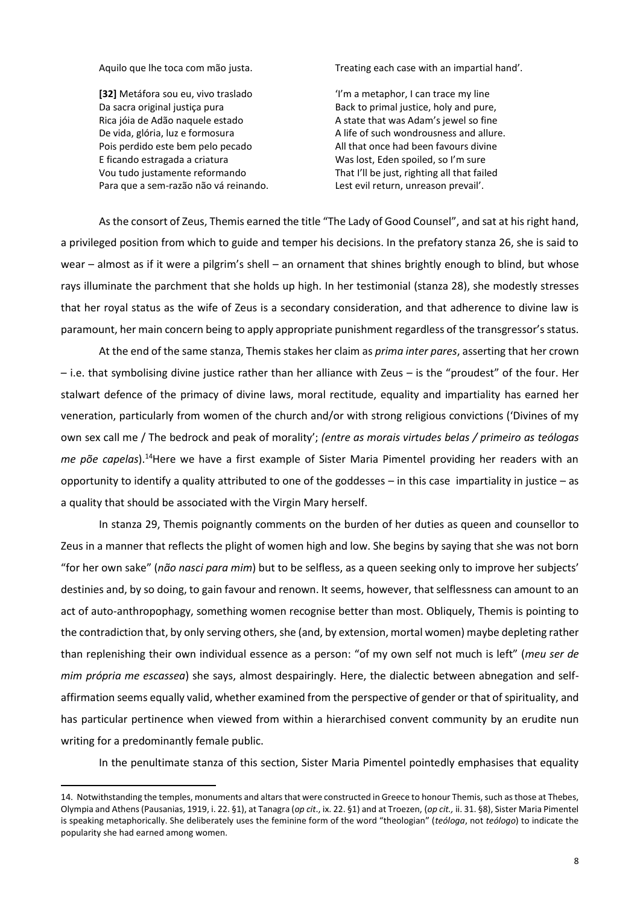**[32]** Metáfora sou eu, vivo traslado 'I'm a metaphor, I can trace my line Da sacra original justiça pura Back to primal justice, holy and pure, Rica jóia de Adão naquele estado Alexandre De State that was Adam's jewel so fine De vida, glória, luz e formosura entrance a A life of such wondrousness and allure. Pois perdido este bem pelo pecado All that once had been favours divine E ficando estragada a criatura Was lost, Eden spoiled, so I'm sure Vou tudo justamente reformando That I'll be just, righting all that failed Para que a sem-razão não vá reinando. Lest evil return, unreason prevail'.

 $\overline{a}$ 

Aquilo que lhe toca com mão justa. Treating each case with an impartial hand'.

As the consort of Zeus, Themis earned the title "The Lady of Good Counsel", and sat at his right hand, a privileged position from which to guide and temper his decisions. In the prefatory stanza 26, she is said to wear – almost as if it were a pilgrim's shell – an ornament that shines brightly enough to blind, but whose rays illuminate the parchment that she holds up high. In her testimonial (stanza 28), she modestly stresses that her royal status as the wife of Zeus is a secondary consideration, and that adherence to divine law is paramount, her main concern being to apply appropriate punishment regardless of the transgressor's status.

At the end of the same stanza, Themis stakes her claim as *prima inter pares*, asserting that her crown – i.e. that symbolising divine justice rather than her alliance with Zeus – is the "proudest" of the four. Her stalwart defence of the primacy of divine laws, moral rectitude, equality and impartiality has earned her veneration, particularly from women of the church and/or with strong religious convictions ('Divines of my own sex call me / The bedrock and peak of morality'; *(entre as morais virtudes belas / primeiro as teólogas me põe capelas*).<sup>14</sup>Here we have a first example of Sister Maria Pimentel providing her readers with an opportunity to identify a quality attributed to one of the goddesses – in this case impartiality in justice – as a quality that should be associated with the Virgin Mary herself.

In stanza 29, Themis poignantly comments on the burden of her duties as queen and counsellor to Zeus in a manner that reflects the plight of women high and low. She begins by saying that she was not born "for her own sake" (*não nasci para mim*) but to be selfless, as a queen seeking only to improve her subjects' destinies and, by so doing, to gain favour and renown. It seems, however, that selflessness can amount to an act of auto-anthropophagy, something women recognise better than most. Obliquely, Themis is pointing to the contradiction that, by only serving others, she (and, by extension, mortal women) maybe depleting rather than replenishing their own individual essence as a person: "of my own self not much is left" (*meu ser de mim própria me escassea*) she says, almost despairingly. Here, the dialectic between abnegation and selfaffirmation seems equally valid, whether examined from the perspective of gender or that of spirituality, and has particular pertinence when viewed from within a hierarchised convent community by an erudite nun writing for a predominantly female public.

In the penultimate stanza of this section, Sister Maria Pimentel pointedly emphasises that equality

<sup>14.</sup> Notwithstanding the temples, monuments and altarsthat were constructed in Greece to honour Themis, such as those at Thebes, Olympia and Athens (Pausanias, 1919, i. 22. §1), at Tanagra (*op cit*., ix. 22. §1) and at Troezen, (*op cit.,* ii. 31. §8), Sister Maria Pimentel is speaking metaphorically. She deliberately uses the feminine form of the word "theologian" (*teóloga*, not *teólogo*) to indicate the popularity she had earned among women.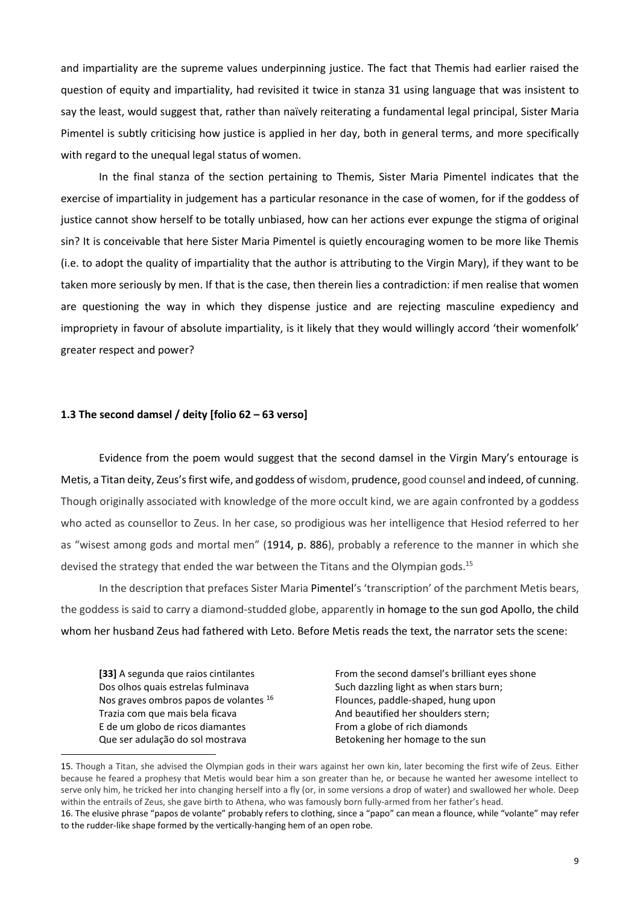and impartiality are the supreme values underpinning justice. The fact that Themis had earlier raised the question of equity and impartiality, had revisited it twice in stanza 31 using language that was insistent to say the least, would suggest that, rather than naïvely reiterating a fundamental legal principal, Sister Maria Pimentel is subtly criticising how justice is applied in her day, both in general terms, and more specifically with regard to the unequal legal status of women.

In the final stanza of the section pertaining to Themis, Sister Maria Pimentel indicates that the exercise of impartiality in judgement has a particular resonance in the case of women, for if the goddess of justice cannot show herself to be totally unbiased, how can her actions ever expunge the stigma of original sin? It is conceivable that here Sister Maria Pimentel is quietly encouraging women to be more like Themis (i.e. to adopt the quality of impartiality that the author is attributing to the Virgin Mary), if they want to be taken more seriously by men. If that is the case, then therein lies a contradiction: if men realise that women are questioning the way in which they dispense justice and are rejecting masculine expediency and impropriety in favour of absolute impartiality, is it likely that they would willingly accord 'their womenfolk' greater respect and power?

### **1.3 The second damsel / deity [folio 62 – 63 verso]**

Evidence from the poem would suggest that the second damsel in the Virgin Mary's entourage is Metis, a Titan deity, Zeus's first wife, and goddess of wisdom, prudence, good counsel and indeed, of cunning. Though originally associated with knowledge of the more occult kind, we are again confronted by a goddess who acted as counsellor to Zeus. In her case, so prodigious was her intelligence that Hesiod referred to her as "wisest among gods and mortal men" (1914, p. 886), probably a reference to the manner in which she devised the strategy that ended the war between the Titans and the Olympian gods.<sup>15</sup>

In the description that prefaces Sister Maria Pimentel's 'transcription' of the parchment Metis bears, the goddess is said to carry a diamond-studded globe, apparently in homage to the sun god Apollo, the child whom her husband Zeus had fathered with Leto. Before Metis reads the text, the narrator sets the scene:

**[33]** A segunda que raios cintilantes From the second damsel's brilliant eyes shone Dos olhos quais estrelas fulminava Such dazzling light as when stars burn; Nos graves ombros papos de volantes <sup>16</sup> Flounces, paddle-shaped, hung upon Trazia com que mais bela ficava And beautified her shoulders stern; E de um globo de ricos diamantes From a globe of rich diamonds Que ser adulação do sol mostrava entrante de Betokening her homage to the sun

<sup>15.</sup> Though a Titan, she advised the Olympian gods in their wars against her own kin, later becoming the first wife of Zeus. Either because he feared a prophesy that Metis would bear him a son greater than he, or because he wanted her awesome intellect to serve only him, he tricked her into changing herself into a fly (or, in some versions a drop of water) and swallowed her whole. Deep within the entrails of Zeus, she gave birth to Athena, who was famously born fully-armed from her father's head. 16. The elusive phrase "papos de volante" probably refers to clothing, since a "papo" can mean a flounce, while "volante" may refer to the rudder-like shape formed by the vertically-hanging hem of an open robe.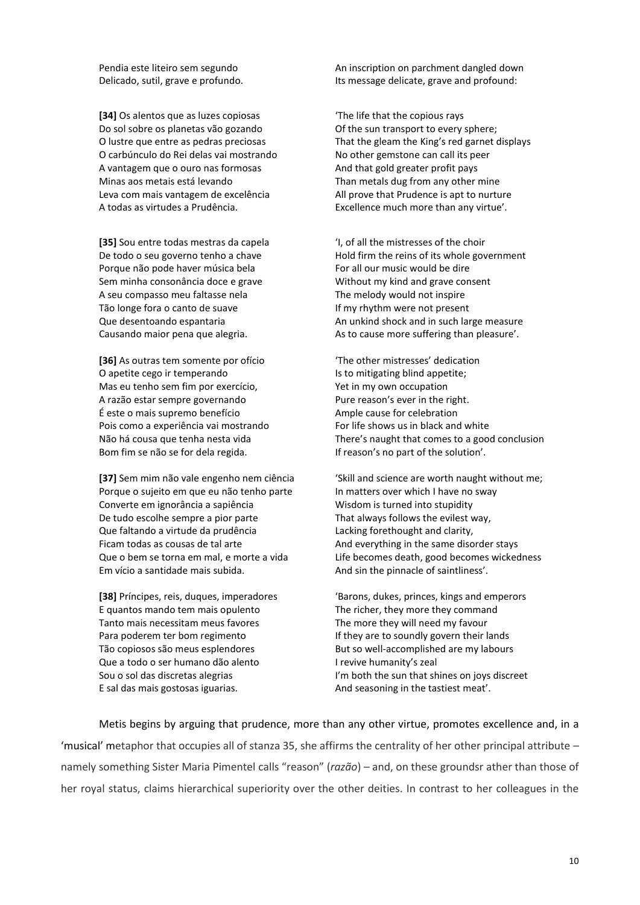**[34]** Os alentos que as luzes copiosas 'The life that the copious rays Do sol sobre os planetas vão gozando Of the sun transport to every sphere; O carbúnculo do Rei delas vai mostrando No other gemstone can call its peer A vantagem que o ouro nas formosas And that gold greater profit pays Minas aos metais está levando Than metals dug from any other mine Leva com mais vantagem de excelência All prove that Prudence is apt to nurture A todas as virtudes a Prudência. Excellence much more than any virtue'.

**[35]** Sou entre todas mestras da capela 'I, of all the mistresses of the choir Porque não pode haver música bela For all our music would be dire Sem minha consonância doce e grave Without my kind and grave consent A seu compasso meu faltasse nela The melody would not inspire Tão longe fora o canto de suave If my rhythm were not present

**[36]** As outras tem somente por ofício 'The other mistresses' dedication O apetite cego ir temperando Is to mitigating blind appetite; Mas eu tenho sem fim por exercício, Yet in my own occupation A razão estar sempre governando Pure reason's ever in the right. É este o mais supremo benefício Ample cause for celebration Pois como a experiência vai mostrando For life shows us in black and white Bom fim se não se for dela regida. If reason's no part of the solution'.

Porque o sujeito em que eu não tenho parte In matters over which I have no sway Converte em ignorância a sapiência Wisdom is turned into stupidity De tudo escolhe sempre a pior parte That always follows the evilest way, Que faltando a virtude da prudência Lacking forethought and clarity, Ficam todas as cousas de tal arte And everything in the same disorder stays Em vício a santidade mais subida. And sin the pinnacle of saintliness'.

E quantos mando tem mais opulento The richer, they more they command Tanto mais necessitam meus favores The more they will need my favour Para poderem ter bom regimento If they are to soundly govern their lands Que a todo o ser humano dão alento I revive humanity's zeal E sal das mais gostosas iguarias. And seasoning in the tastiest meat'.

Pendia este liteiro sem segundo An inscription on parchment dangled down Delicado, sutil, grave e profundo. Its message delicate, grave and profound:

O lustre que entre as pedras preciosas That the gleam the King's red garnet displays

De todo o seu governo tenho a chave Hold firm the reins of its whole government Que desentoando espantaria and in such large measure and in such large measure Causando maior pena que alegria. As to cause more suffering than pleasure'.

Não há cousa que tenha nesta vida There's naught that comes to a good conclusion

**[37]** Sem mim não vale engenho nem ciência 'Skill and science are worth naught without me; Que o bem se torna em mal, e morte a vida Life becomes death, good becomes wickedness

**[38]** Príncipes, reis, duques, imperadores 'Barons, dukes, princes, kings and emperors Tão copiosos são meus esplendores But so well-accomplished are my labours Sou o sol das discretas alegrias I'm both the sun that shines on joys discreet

Metis begins by arguing that prudence, more than any other virtue, promotes excellence and, in a 'musical' metaphor that occupies all of stanza 35, she affirms the centrality of her other principal attribute – namely something Sister Maria Pimentel calls "reason" (*razão*) – and, on these groundsr ather than those of her royal status, claims hierarchical superiority over the other deities. In contrast to her colleagues in the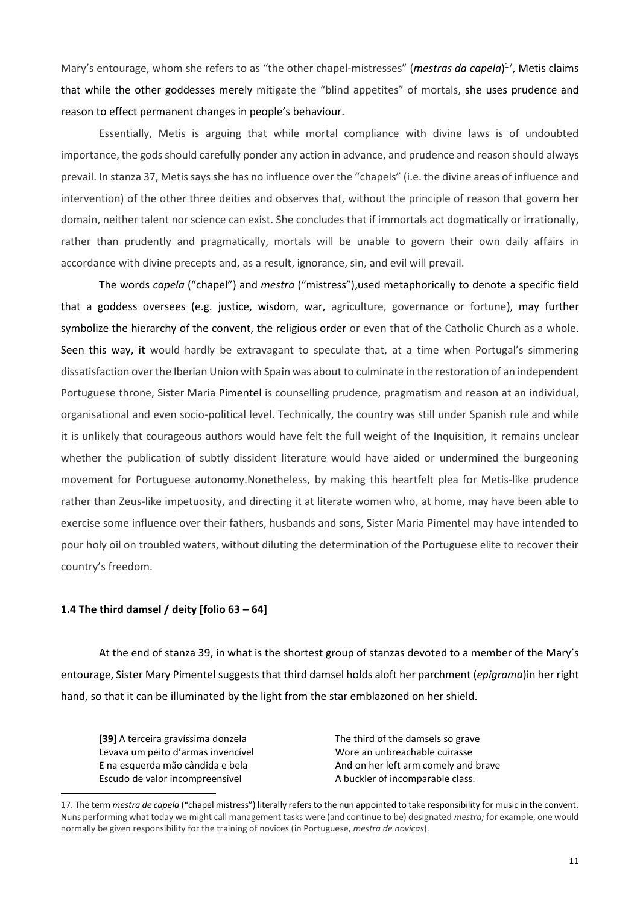Mary's entourage, whom she refers to as "the other chapel-mistresses" (*mestras da capela*) <sup>17</sup>, Metis claims that while the other goddesses merely mitigate the "blind appetites" of mortals, she uses prudence and reason to effect permanent changes in people's behaviour.

Essentially, Metis is arguing that while mortal compliance with divine laws is of undoubted importance, the gods should carefully ponder any action in advance, and prudence and reason should always prevail. In stanza 37, Metissays she has no influence over the "chapels" (i.e. the divine areas of influence and intervention) of the other three deities and observes that, without the principle of reason that govern her domain, neither talent nor science can exist. She concludes that if immortals act dogmatically or irrationally, rather than prudently and pragmatically, mortals will be unable to govern their own daily affairs in accordance with divine precepts and, as a result, ignorance, sin, and evil will prevail.

The words *capela* ("chapel") and *mestra* ("mistress"),used metaphorically to denote a specific field that a goddess oversees (e.g. justice, wisdom, war, agriculture, governance or fortune), may further symbolize the hierarchy of the convent, the religious order or even that of the Catholic Church as a whole. Seen this way, it would hardly be extravagant to speculate that, at a time when Portugal's simmering dissatisfaction over the Iberian Union with Spain was about to culminate in the restoration of an independent Portuguese throne, Sister Maria Pimentel is counselling prudence, pragmatism and reason at an individual, organisational and even socio-political level. Technically, the country was still under Spanish rule and while it is unlikely that courageous authors would have felt the full weight of the Inquisition, it remains unclear whether the publication of subtly dissident literature would have aided or undermined the burgeoning movement for Portuguese autonomy.Nonetheless, by making this heartfelt plea for Metis-like prudence rather than Zeus-like impetuosity, and directing it at literate women who, at home, may have been able to exercise some influence over their fathers, husbands and sons, Sister Maria Pimentel may have intended to pour holy oil on troubled waters, without diluting the determination of the Portuguese elite to recover their country's freedom.

### **1.4 The third damsel / deity [folio 63 – 64]**

At the end of stanza 39, in what is the shortest group of stanzas devoted to a member of the Mary's entourage, Sister Mary Pimentel suggests that third damsel holds aloft her parchment (*epigrama*)in her right hand, so that it can be illuminated by the light from the star emblazoned on her shield.

**[39]** A terceira gravíssima donzela The third of the damsels so grave Levava um peito d'armas invencível values au Wore an unbreachable cuirasse Escudo de valor incompreensível **A** buckler of incomparable class.

**.** 

E na esquerda mão cândida e bela And on her left arm comely and brave

<sup>17.</sup> The term *mestra de capela* ("chapel mistress") literally refers to the nun appointed to take responsibility for music in the convent. Nuns performing what today we might call management tasks were (and continue to be) designated *mestra;* for example, one would normally be given responsibility for the training of novices (in Portuguese, *mestra de noviças*).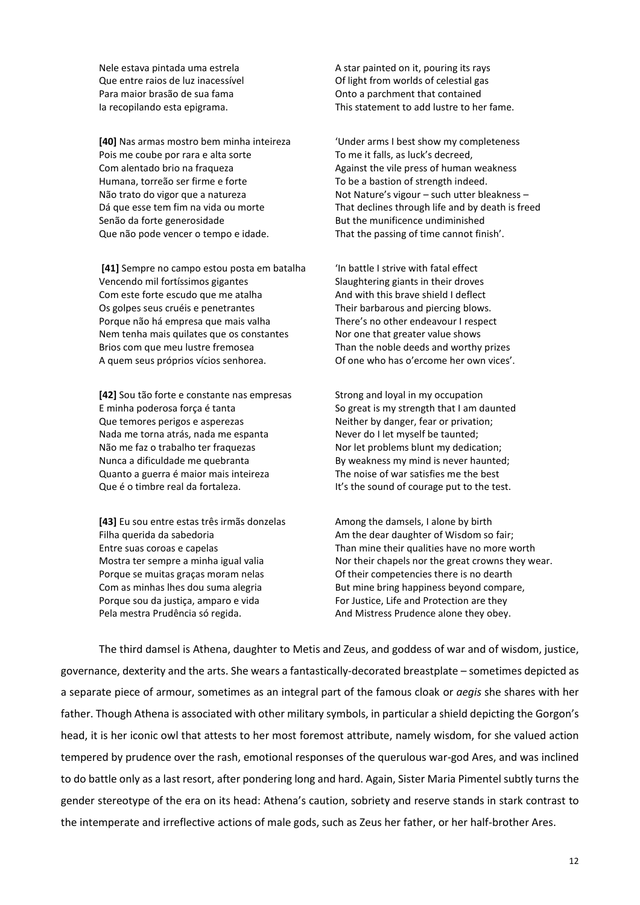**[40]** Nas armas mostro bem minha inteireza 'Under arms I best show my completeness Pois me coube por rara e alta sorte To me it falls, as luck's decreed, Com alentado brio na fraqueza Against the vile press of human weakness Humana, torreão ser firme e forte To be a bastion of strength indeed. Senão da forte generosidade But the munificence undiminished Que não pode vencer o tempo e idade. That the passing of time cannot finish'.

**[41]** Sempre no campo estou posta em batalha 'In battle I strive with fatal effect Vencendo mil fortíssimos gigantes Slaughtering giants in their droves Com este forte escudo que me atalha And with this brave shield I deflect Os golpes seus cruéis e penetrantes Their barbarous and piercing blows. Porque não há empresa que mais valha There's no other endeavour I respect Nem tenha mais quilates que os constantes Nor one that greater value shows Brios com que meu lustre fremosea Than the noble deeds and worthy prizes A quem seus próprios vícios senhorea. Of one who has o'ercome her own vices'.

**[42]** Sou tão forte e constante nas empresas Strong and loyal in my occupation E minha poderosa força é tanta So great is my strength that I am daunted Que temores perigos e asperezas Neither by danger, fear or privation; Nada me torna atrás, nada me espanta Never do I let myself be taunted; Não me faz o trabalho ter fraquezas Nor let problems blunt my dedication; Nunca a dificuldade me quebranta By weakness my mind is never haunted; Quanto a guerra é maior mais inteireza The noise of war satisfies me the best Que é o timbre real da fortaleza. It's the sound of courage put to the test.

**[43]** Eu sou entre estas três irmãs donzelas Among the damsels, I alone by birth Filha querida da sabedoria entity and the dear daughter of Wisdom so fair; Porque se muitas graças moram nelas Of their competencies there is no dearth Porque sou da justiça, amparo e vida For Justice, Life and Protection are they Pela mestra Prudência só regida. And Mistress Prudence alone they obey.

Nele estava pintada uma estrela A star painted on it, pouring its rays Que entre raios de luz inacessível Of light from worlds of celestial gas Para maior brasão de sua fama Onto a parchment that contained Ia recopilando esta epigrama. This statement to add lustre to her fame.

Não trato do vigor que a natureza Not Nature's vigour – such utter bleakness – Dá que esse tem fim na vida ou morte That declines through life and by death is freed

Entre suas coroas e capelas Than mine their qualities have no more worth Mostra ter sempre a minha igual valia Norr their chapels nor the great crowns they wear. Com as minhas lhes dou suma alegria entity and But mine bring happiness beyond compare,

The third damsel is Athena, daughter to Metis and Zeus, and goddess of war and of wisdom, justice, governance, dexterity and the arts. She wears a fantastically-decorated breastplate – sometimes depicted as a separate piece of armour, sometimes as an integral part of the famous cloak or *aegis* she shares with her father. Though Athena is associated with other military symbols, in particular a shield depicting the Gorgon's head, it is her iconic owl that attests to her most foremost attribute, namely wisdom, for she valued action tempered by prudence over the rash, emotional responses of the querulous war-god Ares, and was inclined to do battle only as a last resort, after pondering long and hard. Again, Sister Maria Pimentel subtly turns the gender stereotype of the era on its head: Athena's caution, sobriety and reserve stands in stark contrast to the intemperate and irreflective actions of male gods, such as Zeus her father, or her half-brother Ares.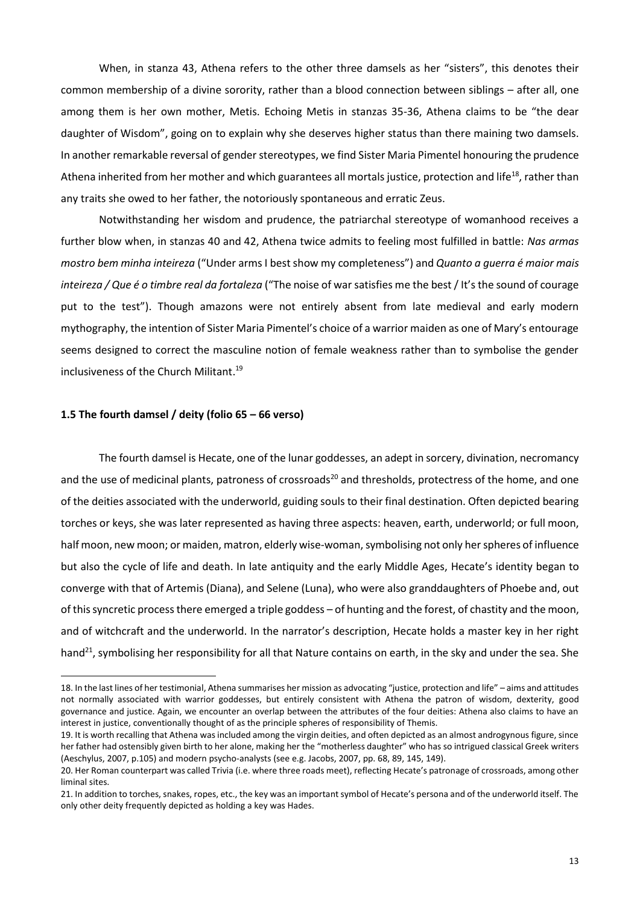When, in stanza 43, Athena refers to the other three damsels as her "sisters", this denotes their common membership of a divine sorority, rather than a blood connection between siblings – after all, one among them is her own mother, Metis. Echoing Metis in stanzas 35-36, Athena claims to be "the dear daughter of Wisdom", going on to explain why she deserves higher status than there maining two damsels. In another remarkable reversal of gender stereotypes, we find Sister Maria Pimentel honouring the prudence Athena inherited from her mother and which guarantees all mortals justice, protection and life<sup>18</sup>, rather than any traits she owed to her father, the notoriously spontaneous and erratic Zeus.

Notwithstanding her wisdom and prudence, the patriarchal stereotype of womanhood receives a further blow when, in stanzas 40 and 42, Athena twice admits to feeling most fulfilled in battle: *Nas armas mostro bem minha inteireza* ("Under arms I best show my completeness") and *Quanto a guerra é maior mais inteireza / Que é o timbre real da fortaleza* ("The noise of war satisfies me the best / It's the sound of courage put to the test"). Though amazons were not entirely absent from late medieval and early modern mythography, the intention of Sister Maria Pimentel's choice of a warrior maiden as one of Mary's entourage seems designed to correct the masculine notion of female weakness rather than to symbolise the gender inclusiveness of the Church Militant. 19

### **1.5 The fourth damsel / deity (folio 65 – 66 verso)**

1

The fourth damsel is Hecate, one of the lunar goddesses, an adept in sorcery, divination, necromancy and the use of medicinal plants, patroness of crossroads<sup>20</sup> and thresholds, protectress of the home, and one of the deities associated with the underworld, guiding souls to their final destination. Often depicted bearing torches or keys, she was later represented as having three aspects: heaven, earth, underworld; or full moon, half moon, new moon; or maiden, matron, elderly wise-woman, symbolising not only her spheres of influence but also the cycle of life and death. In late antiquity and the early Middle Ages, Hecate's identity began to converge with that of Artemis (Diana), and Selene (Luna), who were also granddaughters of Phoebe and, out of this syncretic process there emerged a triple goddess – of hunting and the forest, of chastity and the moon, and of witchcraft and the underworld. In the narrator's description, Hecate holds a master key in her right hand<sup>21</sup>, symbolising her responsibility for all that Nature contains on earth, in the sky and under the sea. She

<sup>18</sup>. In the last lines of her testimonial, Athena summarises her mission as advocating "justice, protection and life" – aims and attitudes not normally associated with warrior goddesses, but entirely consistent with Athena the patron of wisdom, dexterity, good governance and justice. Again, we encounter an overlap between the attributes of the four deities: Athena also claims to have an interest in justice, conventionally thought of as the principle spheres of responsibility of Themis.

<sup>19.</sup> It is worth recalling that Athena was included among the virgin deities, and often depicted as an almost androgynous figure, since her father had ostensibly given birth to her alone, making her the "motherless daughter" who has so intrigued classical Greek writers (Aeschylus, 2007, p.105) and modern psycho-analysts (see e.g. Jacobs, 2007, pp. 68, 89, 145, 149).

<sup>20</sup>. Her Roman counterpart was called Trivia (i.e. where three roads meet), reflecting Hecate's patronage of crossroads, among other liminal sites.

<sup>21.</sup> In addition to torches, snakes, ropes, etc., the key was an important symbol of Hecate's persona and of the underworld itself. The only other deity frequently depicted as holding a key was Hades.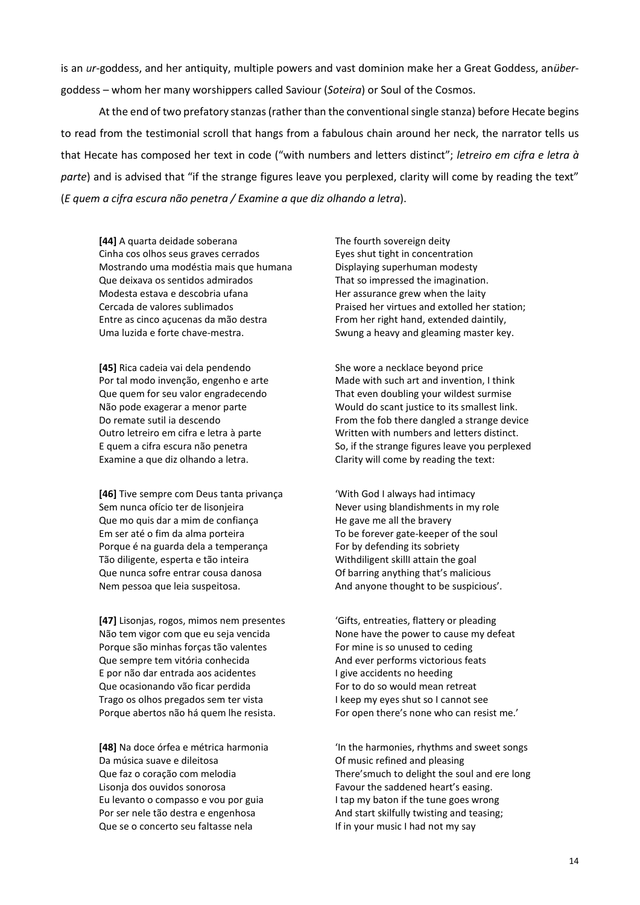is an *ur*-goddess, and her antiquity, multiple powers and vast dominion make her a Great Goddess, an*über*goddess – whom her many worshippers called Saviour (*Soteira*) or Soul of the Cosmos.

At the end of two prefatory stanzas (rather than the conventional single stanza) before Hecate begins to read from the testimonial scroll that hangs from a fabulous chain around her neck, the narrator tells us that Hecate has composed her text in code ("with numbers and letters distinct"; *letreiro em cifra e letra à parte*) and is advised that "if the strange figures leave you perplexed, clarity will come by reading the text" (*E quem a cifra escura não penetra / Examine a que diz olhando a letra*).

**[44]** A quarta deidade soberana The fourth sovereign deity Cinha cos olhos seus graves cerrados Eyes shut tight in concentration Mostrando uma modéstia mais que humana Displaying superhuman modesty Que deixava os sentidos admirados That so impressed the imagination. Modesta estava e descobria ufana Her assurance grew when the laity Entre as cinco acucenas da mão destra From her right hand, extended daintily, Uma luzida e forte chave-mestra. Surface a swung a heavy and gleaming master key.

**[45]** Rica cadeia vai dela pendendo She wore a necklace beyond price Examine a que diz olhando a letra. Clarity will come by reading the text:

**[46]** Tive sempre com Deus tanta privança 'With God I always had intimacy Sem nunca ofício ter de lisonjeira Never using blandishments in my role Que mo quis dar a mim de confiança he has had he gave me all the bravery Em ser até o fim da alma porteira To be forever gate-keeper of the soul Porque é na guarda dela a temperança For by defending its sobriety Tão diligente, esperta e tão inteira Withdiligent skillI attain the goal Que nunca sofre entrar cousa danosa Of barring anything that's malicious Nem pessoa que leia suspeitosa. And anyone thought to be suspicious'.

**[47]** Lisonjas, rogos, mimos nem presentes 'Gifts, entreaties, flattery or pleading Não tem vigor com que eu seja vencida None have the power to cause my defeat Porque são minhas forças tão valentes For mine is so unused to ceding Que sempre tem vitória conhecida And ever performs victorious feats E por não dar entrada aos acidentes I give accidents no heeding Que ocasionando vão ficar perdida For to do so would mean retreat Trago os olhos pregados sem ter vista I keep my eyes shut so I cannot see Porque abertos não há quem lhe resista. For open there's none who can resist me.'

Da música suave e dileitosa Of music refined and pleasing Lisonja dos ouvidos sonorosa Favour the saddened heart's easing. Eu levanto o compasso e vou por guia I tap my baton if the tune goes wrong Por ser nele tão destra e engenhosa And start skilfully twisting and teasing; Que se o concerto seu faltasse nela If in your music I had not my say

Cercada de valores sublimados Praised her virtues and extolled her station;

Por tal modo invenção, engenho e arte Made with such art and invention, I think Que quem for seu valor engradecendo That even doubling your wildest surmise Não pode exagerar a menor parte Would do scant justice to its smallest link. Do remate sutil ia descendo From the fob there dangled a strange device Outro letreiro em cifra e letra à parte Written with numbers and letters distinct. E quem a cifra escura não penetra So, if the strange figures leave you perplexed

**[48]** Na doce órfea e métrica harmonia 'In the harmonies, rhythms and sweet songs Que faz o coração com melodia There'smuch to delight the soul and ere long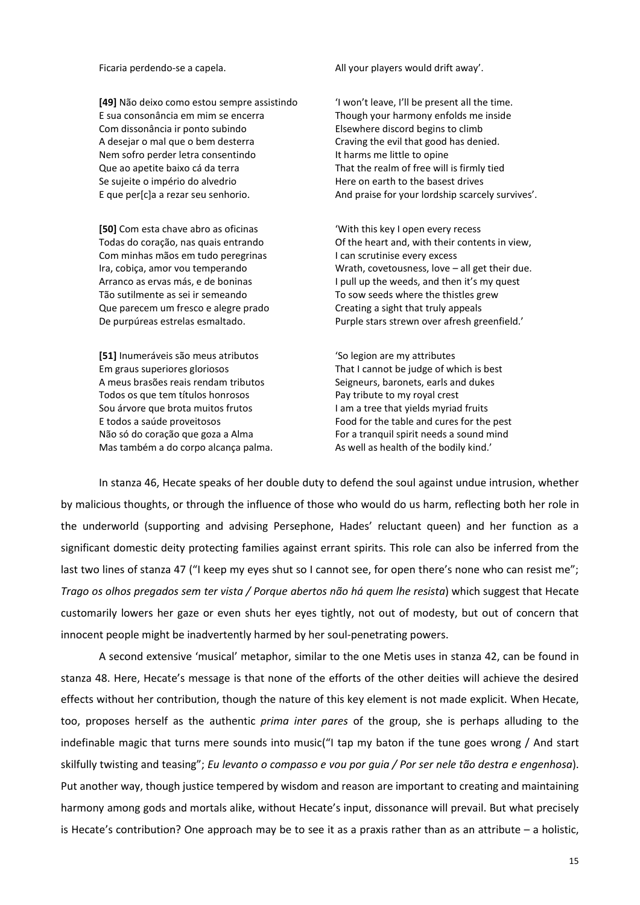**[49]** Não deixo como estou sempre assistindo 'I won't leave, I'll be present all the time. E sua consonância em mim se encerra Though your harmony enfolds me inside Com dissonância ir ponto subindo Elsewhere discord begins to climb A desejar o mal que o bem desterra Craving the evil that good has denied. Nem sofro perder letra consentindo It harms me little to opine Que ao apetite baixo cá da terra That the realm of free will is firmly tied Se sujeite o império do alvedrio entrante de Here on earth to the basest drives

**[50]** Com esta chave abro as oficinas 'With this key I open every recess Com minhas mãos em tudo peregrinas I can scrutinise every excess Tão sutilmente as sei ir semeando To sow seeds where the thistles grew Que parecem um fresco e alegre prado Creating a sight that truly appeals

**[51]** Inumeráveis são meus atributos 'So legion are my attributes Em graus superiores gloriosos That I cannot be judge of which is best A meus brasões reais rendam tributos Seigneurs, baronets, earls and dukes Todos os que tem títulos honrosos Pay tribute to my royal crest Sou árvore que brota muitos frutos I am a tree that yields myriad fruits E todos a saúde proveitosos Food for the table and cures for the pest Não só do coração que goza a Alma For a tranquil spirit needs a sound mind Mas também a do corpo alcança palma. As well as health of the bodily kind.'

Ficaria perdendo-se a capela. All your players would drift away'.

E que per[c]a a rezar seu senhorio. And praise for your lordship scarcely survives'.

Todas do coração, nas quais entrando Of the heart and, with their contents in view, Ira, cobiça, amor vou temperando Wrath, covetousness, love – all get their due. Arranco as ervas más, e de boninas I pull up the weeds, and then it's my quest De purpúreas estrelas esmaltado. Purple stars strewn over afresh greenfield.'

In stanza 46, Hecate speaks of her double duty to defend the soul against undue intrusion, whether by malicious thoughts, or through the influence of those who would do us harm, reflecting both her role in the underworld (supporting and advising Persephone, Hades' reluctant queen) and her function as a significant domestic deity protecting families against errant spirits. This role can also be inferred from the last two lines of stanza 47 ("I keep my eyes shut so I cannot see, for open there's none who can resist me"; *Trago os olhos pregados sem ter vista / Porque abertos não há quem lhe resista*) which suggest that Hecate customarily lowers her gaze or even shuts her eyes tightly, not out of modesty, but out of concern that innocent people might be inadvertently harmed by her soul-penetrating powers.

A second extensive 'musical' metaphor, similar to the one Metis uses in stanza 42, can be found in stanza 48. Here, Hecate's message is that none of the efforts of the other deities will achieve the desired effects without her contribution, though the nature of this key element is not made explicit. When Hecate, too, proposes herself as the authentic *prima inter pares* of the group, she is perhaps alluding to the indefinable magic that turns mere sounds into music("I tap my baton if the tune goes wrong / And start skilfully twisting and teasing"; *Eu levanto o compasso e vou por guia / Por ser nele tão destra e engenhosa*). Put another way, though justice tempered by wisdom and reason are important to creating and maintaining harmony among gods and mortals alike, without Hecate's input, dissonance will prevail. But what precisely is Hecate's contribution? One approach may be to see it as a praxis rather than as an attribute – a holistic,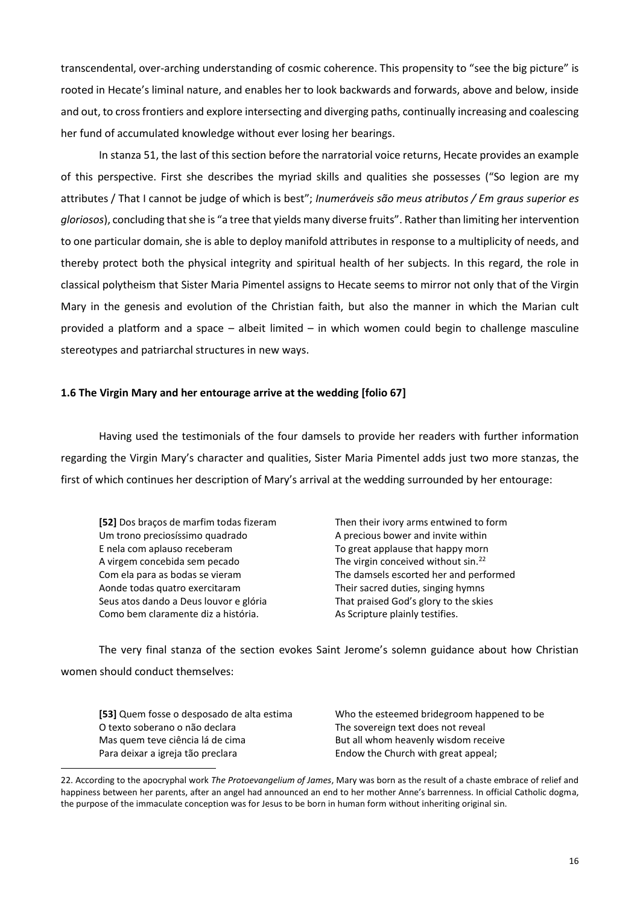transcendental, over-arching understanding of cosmic coherence. This propensity to "see the big picture" is rooted in Hecate's liminal nature, and enables her to look backwards and forwards, above and below, inside and out, to cross frontiers and explore intersecting and diverging paths, continually increasing and coalescing her fund of accumulated knowledge without ever losing her bearings.

In stanza 51, the last of this section before the narratorial voice returns, Hecate provides an example of this perspective. First she describes the myriad skills and qualities she possesses ("So legion are my attributes / That I cannot be judge of which is best"; *Inumeráveis são meus atributos / Em graus superior es gloriosos*), concluding thatshe is "a tree that yields many diverse fruits". Rather than limiting her intervention to one particular domain, she is able to deploy manifold attributes in response to a multiplicity of needs, and thereby protect both the physical integrity and spiritual health of her subjects. In this regard, the role in classical polytheism that Sister Maria Pimentel assigns to Hecate seems to mirror not only that of the Virgin Mary in the genesis and evolution of the Christian faith, but also the manner in which the Marian cult provided a platform and a space – albeit limited – in which women could begin to challenge masculine stereotypes and patriarchal structures in new ways.

## **1.6 The Virgin Mary and her entourage arrive at the wedding [folio 67]**

Having used the testimonials of the four damsels to provide her readers with further information regarding the Virgin Mary's character and qualities, Sister Maria Pimentel adds just two more stanzas, the first of which continues her description of Mary's arrival at the wedding surrounded by her entourage:

**[52]** Dos braços de marfim todas fizeram Then their ivory arms entwined to form Um trono preciosíssimo quadrado Aprecious bower and invite within E nela com aplauso receberam To great applause that happy morn A virgem concebida sem pecado The virgin conceived without sin.<sup>22</sup> Aonde todas quatro exercitaram Their sacred duties, singing hymns Seus atos dando a Deus louvor e glória That praised God's glory to the skies Como bem claramente diz a história. As Scripture plainly testifies.

**.** 

Com ela para as bodas se vieram The damsels escorted her and performed

The very final stanza of the section evokes Saint Jerome's solemn guidance about how Christian women should conduct themselves:

| <b>[53]</b> Quem fosse o desposado de alta estima | Who the esteemed bridegroom happened to be |
|---------------------------------------------------|--------------------------------------------|
| O texto soberano o não declara                    | The sovereign text does not reveal         |
| Mas quem teve ciência lá de cima                  | But all whom heavenly wisdom receive       |
| Para deixar a igreja tão preclara                 | Endow the Church with great appeal;        |

<sup>22.</sup> According to the apocryphal work *The Protoevangelium of James*, Mary was born as the result of a chaste embrace of relief and happiness between her parents, after an angel had announced an end to her mother Anne's barrenness. In official Catholic dogma, the purpose of the immaculate conception was for Jesus to be born in human form without inheriting original sin.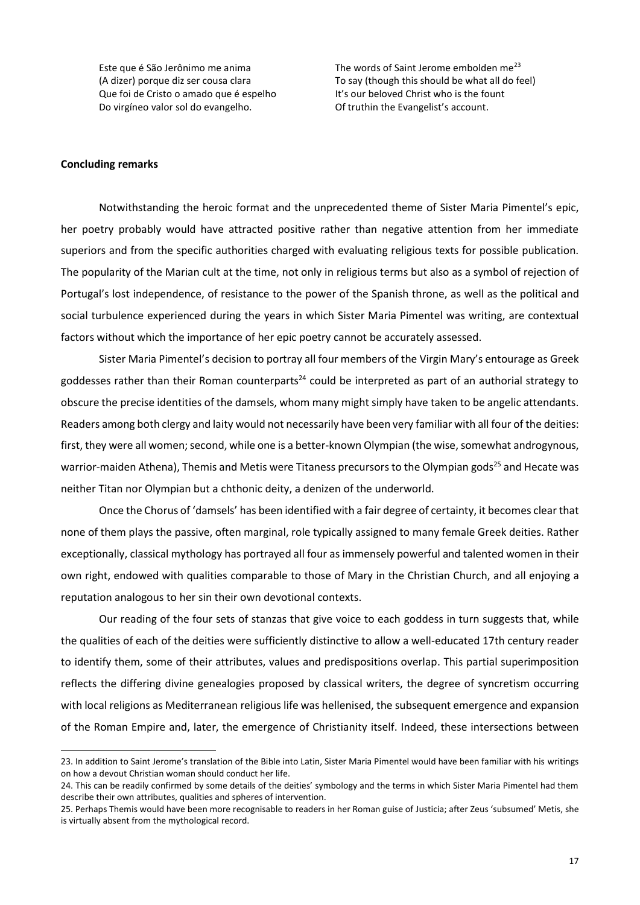Que foi de Cristo o amado que é espelho It's our beloved Christ who is the fount Do virgíneo valor sol do evangelho. Of truthin the Evangelist's account.

Este que é São Jerônimo me anima  $\frac{1}{2}$  The words of Saint Jerome embolden me<sup>23</sup> (A dizer) porque diz ser cousa clara To say (though this should be what all do feel)

#### **Concluding remarks**

1

Notwithstanding the heroic format and the unprecedented theme of Sister Maria Pimentel's epic, her poetry probably would have attracted positive rather than negative attention from her immediate superiors and from the specific authorities charged with evaluating religious texts for possible publication. The popularity of the Marian cult at the time, not only in religious terms but also as a symbol of rejection of Portugal's lost independence, of resistance to the power of the Spanish throne, as well as the political and social turbulence experienced during the years in which Sister Maria Pimentel was writing, are contextual factors without which the importance of her epic poetry cannot be accurately assessed.

Sister Maria Pimentel's decision to portray all four members of the Virgin Mary's entourage as Greek goddesses rather than their Roman counterparts<sup>24</sup> could be interpreted as part of an authorial strategy to obscure the precise identities of the damsels, whom many might simply have taken to be angelic attendants. Readers among both clergy and laity would not necessarily have been very familiar with all four of the deities: first, they were all women; second, while one is a better-known Olympian (the wise, somewhat androgynous, warrior-maiden Athena), Themis and Metis were Titaness precursors to the Olympian gods<sup>25</sup> and Hecate was neither Titan nor Olympian but a chthonic deity, a denizen of the underworld.

Once the Chorus of 'damsels' has been identified with a fair degree of certainty, it becomes clear that none of them plays the passive, often marginal, role typically assigned to many female Greek deities. Rather exceptionally, classical mythology has portrayed all four as immensely powerful and talented women in their own right, endowed with qualities comparable to those of Mary in the Christian Church, and all enjoying a reputation analogous to her sin their own devotional contexts.

Our reading of the four sets of stanzas that give voice to each goddess in turn suggests that, while the qualities of each of the deities were sufficiently distinctive to allow a well-educated 17th century reader to identify them, some of their attributes, values and predispositions overlap. This partial superimposition reflects the differing divine genealogies proposed by classical writers, the degree of syncretism occurring with local religions as Mediterranean religious life was hellenised, the subsequent emergence and expansion of the Roman Empire and, later, the emergence of Christianity itself. Indeed, these intersections between

<sup>23</sup>. In addition to Saint Jerome's translation of the Bible into Latin, Sister Maria Pimentel would have been familiar with his writings on how a devout Christian woman should conduct her life.

<sup>24.</sup> This can be readily confirmed by some details of the deities' symbology and the terms in which Sister Maria Pimentel had them describe their own attributes, qualities and spheres of intervention.

<sup>25.</sup> Perhaps Themis would have been more recognisable to readers in her Roman guise of Justicia; after Zeus 'subsumed' Metis, she is virtually absent from the mythological record.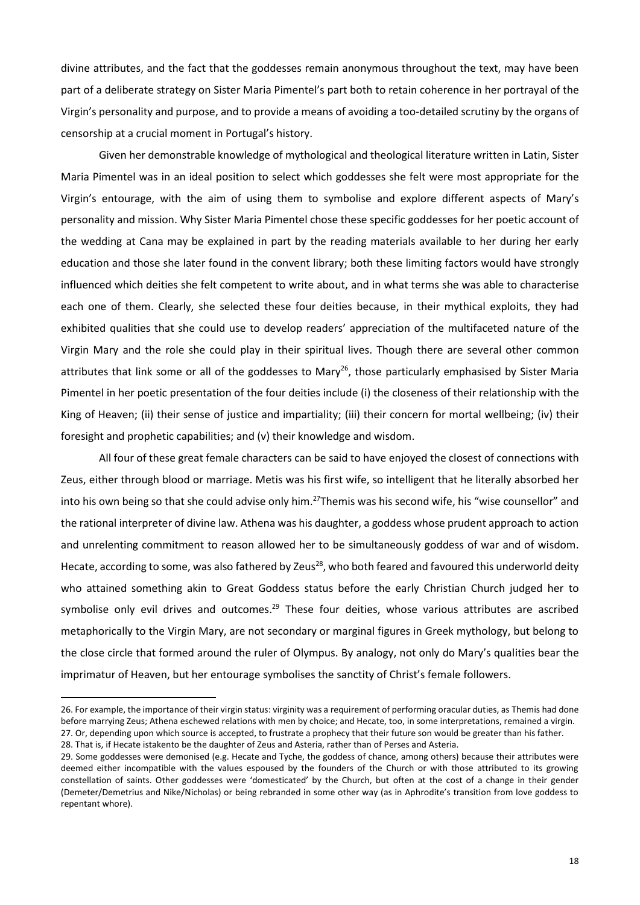divine attributes, and the fact that the goddesses remain anonymous throughout the text, may have been part of a deliberate strategy on Sister Maria Pimentel's part both to retain coherence in her portrayal of the Virgin's personality and purpose, and to provide a means of avoiding a too-detailed scrutiny by the organs of censorship at a crucial moment in Portugal's history.

Given her demonstrable knowledge of mythological and theological literature written in Latin, Sister Maria Pimentel was in an ideal position to select which goddesses she felt were most appropriate for the Virgin's entourage, with the aim of using them to symbolise and explore different aspects of Mary's personality and mission. Why Sister Maria Pimentel chose these specific goddesses for her poetic account of the wedding at Cana may be explained in part by the reading materials available to her during her early education and those she later found in the convent library; both these limiting factors would have strongly influenced which deities she felt competent to write about, and in what terms she was able to characterise each one of them. Clearly, she selected these four deities because, in their mythical exploits, they had exhibited qualities that she could use to develop readers' appreciation of the multifaceted nature of the Virgin Mary and the role she could play in their spiritual lives. Though there are several other common attributes that link some or all of the goddesses to Mary<sup>26</sup>, those particularly emphasised by Sister Maria Pimentel in her poetic presentation of the four deities include (i) the closeness of their relationship with the King of Heaven; (ii) their sense of justice and impartiality; (iii) their concern for mortal wellbeing; (iv) their foresight and prophetic capabilities; and (v) their knowledge and wisdom.

All four of these great female characters can be said to have enjoyed the closest of connections with Zeus, either through blood or marriage. Metis was his first wife, so intelligent that he literally absorbed her into his own being so that she could advise only him.<sup>27</sup>Themis was his second wife, his "wise counsellor" and the rational interpreter of divine law. Athena was his daughter, a goddess whose prudent approach to action and unrelenting commitment to reason allowed her to be simultaneously goddess of war and of wisdom. Hecate, according to some, was also fathered by Zeus<sup>28</sup>, who both feared and favoured this underworld deity who attained something akin to Great Goddess status before the early Christian Church judged her to symbolise only evil drives and outcomes.<sup>29</sup> These four deities, whose various attributes are ascribed metaphorically to the Virgin Mary, are not secondary or marginal figures in Greek mythology, but belong to the close circle that formed around the ruler of Olympus. By analogy, not only do Mary's qualities bear the imprimatur of Heaven, but her entourage symbolises the sanctity of Christ's female followers.

28. That is, if Hecate istakento be the daughter of Zeus and Asteria, rather than of Perses and Asteria.

<sup>26.</sup> For example, the importance of their virgin status: virginity was a requirement of performing oracular duties, as Themis had done before marrying Zeus; Athena eschewed relations with men by choice; and Hecate, too, in some interpretations, remained a virgin. 27. Or, depending upon which source is accepted, to frustrate a prophecy that their future son would be greater than his father.

<sup>29.</sup> Some goddesses were demonised (e.g. Hecate and Tyche, the goddess of chance, among others) because their attributes were deemed either incompatible with the values espoused by the founders of the Church or with those attributed to its growing constellation of saints. Other goddesses were 'domesticated' by the Church, but often at the cost of a change in their gender (Demeter/Demetrius and Nike/Nicholas) or being rebranded in some other way (as in Aphrodite's transition from love goddess to repentant whore).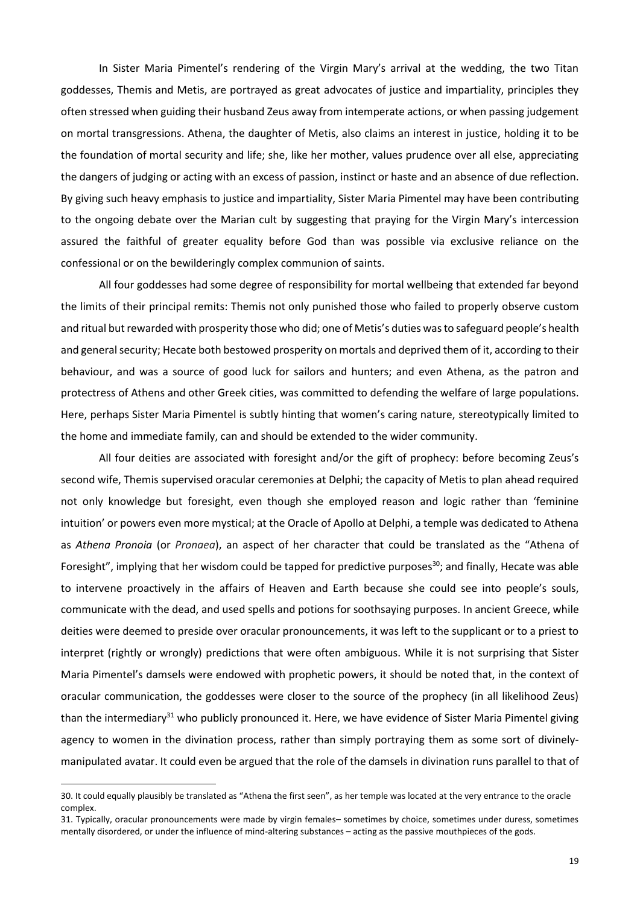In Sister Maria Pimentel's rendering of the Virgin Mary's arrival at the wedding, the two Titan goddesses, Themis and Metis, are portrayed as great advocates of justice and impartiality, principles they often stressed when guiding their husband Zeus away from intemperate actions, or when passing judgement on mortal transgressions. Athena, the daughter of Metis, also claims an interest in justice, holding it to be the foundation of mortal security and life; she, like her mother, values prudence over all else, appreciating the dangers of judging or acting with an excess of passion, instinct or haste and an absence of due reflection. By giving such heavy emphasis to justice and impartiality, Sister Maria Pimentel may have been contributing to the ongoing debate over the Marian cult by suggesting that praying for the Virgin Mary's intercession assured the faithful of greater equality before God than was possible via exclusive reliance on the confessional or on the bewilderingly complex communion of saints.

All four goddesses had some degree of responsibility for mortal wellbeing that extended far beyond the limits of their principal remits: Themis not only punished those who failed to properly observe custom and ritual but rewarded with prosperity those who did; one of Metis's duties was to safeguard people's health and general security; Hecate both bestowed prosperity on mortals and deprived them of it, according to their behaviour, and was a source of good luck for sailors and hunters; and even Athena, as the patron and protectress of Athens and other Greek cities, was committed to defending the welfare of large populations. Here, perhaps Sister Maria Pimentel is subtly hinting that women's caring nature, stereotypically limited to the home and immediate family, can and should be extended to the wider community.

All four deities are associated with foresight and/or the gift of prophecy: before becoming Zeus's second wife, Themis supervised oracular ceremonies at Delphi; the capacity of Metis to plan ahead required not only knowledge but foresight, even though she employed reason and logic rather than 'feminine intuition' or powers even more mystical; at the Oracle of Apollo at Delphi, a temple was dedicated to Athena as *Athena Pronoia* (or *Pronaea*), an aspect of her character that could be translated as the "Athena of Foresight", implying that her wisdom could be tapped for predictive purposes<sup>30</sup>; and finally, Hecate was able to intervene proactively in the affairs of Heaven and Earth because she could see into people's souls, communicate with the dead, and used spells and potions for soothsaying purposes. In ancient Greece, while deities were deemed to preside over oracular pronouncements, it was left to the supplicant or to a priest to interpret (rightly or wrongly) predictions that were often ambiguous. While it is not surprising that Sister Maria Pimentel's damsels were endowed with prophetic powers, it should be noted that, in the context of oracular communication, the goddesses were closer to the source of the prophecy (in all likelihood Zeus) than the intermediary<sup>31</sup> who publicly pronounced it. Here, we have evidence of Sister Maria Pimentel giving agency to women in the divination process, rather than simply portraying them as some sort of divinelymanipulated avatar. It could even be argued that the role of the damsels in divination runs parallel to that of

<sup>30</sup>. It could equally plausibly be translated as "Athena the first seen", as her temple was located at the very entrance to the oracle complex.

<sup>31.</sup> Typically, oracular pronouncements were made by virgin females– sometimes by choice, sometimes under duress, sometimes mentally disordered, or under the influence of mind-altering substances – acting as the passive mouthpieces of the gods.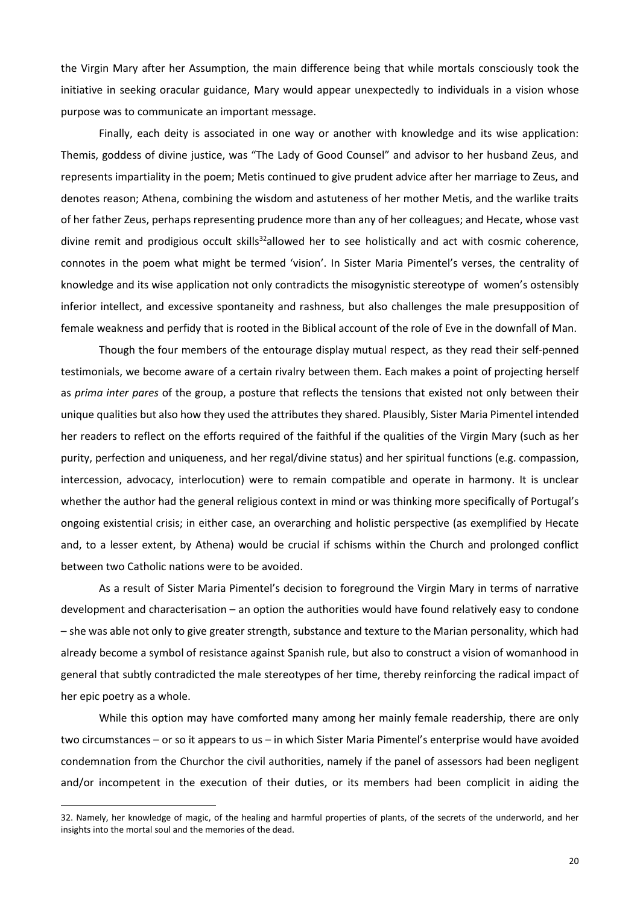the Virgin Mary after her Assumption, the main difference being that while mortals consciously took the initiative in seeking oracular guidance, Mary would appear unexpectedly to individuals in a vision whose purpose was to communicate an important message.

Finally, each deity is associated in one way or another with knowledge and its wise application: Themis, goddess of divine justice, was "The Lady of Good Counsel" and advisor to her husband Zeus, and represents impartiality in the poem; Metis continued to give prudent advice after her marriage to Zeus, and denotes reason; Athena, combining the wisdom and astuteness of her mother Metis, and the warlike traits of her father Zeus, perhaps representing prudence more than any of her colleagues; and Hecate, whose vast divine remit and prodigious occult skills $32$  allowed her to see holistically and act with cosmic coherence, connotes in the poem what might be termed 'vision'. In Sister Maria Pimentel's verses, the centrality of knowledge and its wise application not only contradicts the misogynistic stereotype of women's ostensibly inferior intellect, and excessive spontaneity and rashness, but also challenges the male presupposition of female weakness and perfidy that is rooted in the Biblical account of the role of Eve in the downfall of Man.

Though the four members of the entourage display mutual respect, as they read their self-penned testimonials, we become aware of a certain rivalry between them. Each makes a point of projecting herself as *prima inter pares* of the group, a posture that reflects the tensions that existed not only between their unique qualities but also how they used the attributes they shared. Plausibly, Sister Maria Pimentel intended her readers to reflect on the efforts required of the faithful if the qualities of the Virgin Mary (such as her purity, perfection and uniqueness, and her regal/divine status) and her spiritual functions (e.g. compassion, intercession, advocacy, interlocution) were to remain compatible and operate in harmony. It is unclear whether the author had the general religious context in mind or was thinking more specifically of Portugal's ongoing existential crisis; in either case, an overarching and holistic perspective (as exemplified by Hecate and, to a lesser extent, by Athena) would be crucial if schisms within the Church and prolonged conflict between two Catholic nations were to be avoided.

As a result of Sister Maria Pimentel's decision to foreground the Virgin Mary in terms of narrative development and characterisation – an option the authorities would have found relatively easy to condone – she was able not only to give greater strength, substance and texture to the Marian personality, which had already become a symbol of resistance against Spanish rule, but also to construct a vision of womanhood in general that subtly contradicted the male stereotypes of her time, thereby reinforcing the radical impact of her epic poetry as a whole.

While this option may have comforted many among her mainly female readership, there are only two circumstances – or so it appears to us – in which Sister Maria Pimentel's enterprise would have avoided condemnation from the Churchor the civil authorities, namely if the panel of assessors had been negligent and/or incompetent in the execution of their duties, or its members had been complicit in aiding the

<sup>32.</sup> Namely, her knowledge of magic, of the healing and harmful properties of plants, of the secrets of the underworld, and her insights into the mortal soul and the memories of the dead.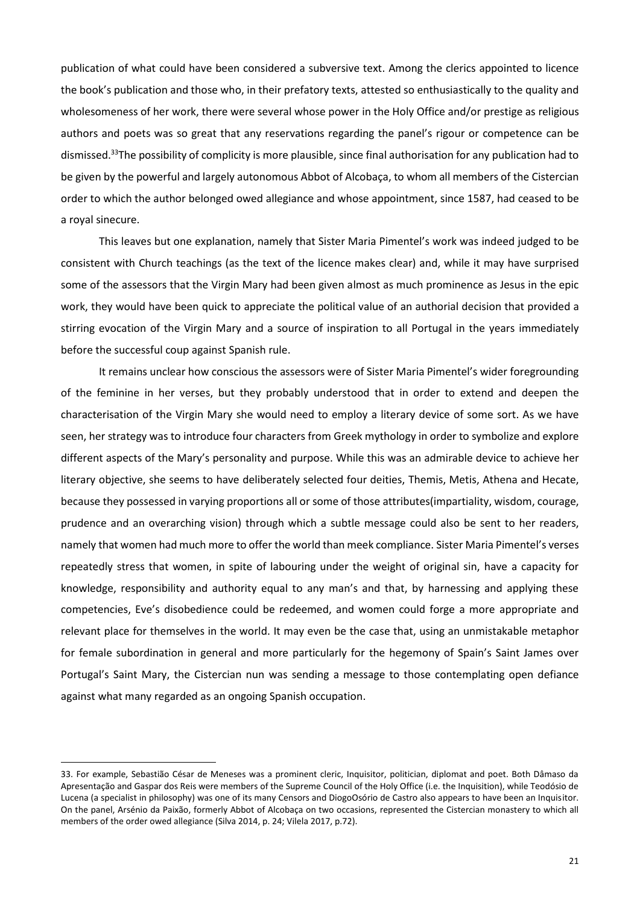publication of what could have been considered a subversive text. Among the clerics appointed to licence the book's publication and those who, in their prefatory texts, attested so enthusiastically to the quality and wholesomeness of her work, there were several whose power in the Holy Office and/or prestige as religious authors and poets was so great that any reservations regarding the panel's rigour or competence can be dismissed.<sup>33</sup>The possibility of complicity is more plausible, since final authorisation for any publication had to be given by the powerful and largely autonomous Abbot of Alcobaça, to whom all members of the Cistercian order to which the author belonged owed allegiance and whose appointment, since 1587, had ceased to be a royal sinecure.

This leaves but one explanation, namely that Sister Maria Pimentel's work was indeed judged to be consistent with Church teachings (as the text of the licence makes clear) and, while it may have surprised some of the assessors that the Virgin Mary had been given almost as much prominence as Jesus in the epic work, they would have been quick to appreciate the political value of an authorial decision that provided a stirring evocation of the Virgin Mary and a source of inspiration to all Portugal in the years immediately before the successful coup against Spanish rule.

It remains unclear how conscious the assessors were of Sister Maria Pimentel's wider foregrounding of the feminine in her verses, but they probably understood that in order to extend and deepen the characterisation of the Virgin Mary she would need to employ a literary device of some sort. As we have seen, her strategy was to introduce four characters from Greek mythology in order to symbolize and explore different aspects of the Mary's personality and purpose. While this was an admirable device to achieve her literary objective, she seems to have deliberately selected four deities, Themis, Metis, Athena and Hecate, because they possessed in varying proportions all or some of those attributes(impartiality, wisdom, courage, prudence and an overarching vision) through which a subtle message could also be sent to her readers, namely that women had much more to offer the world than meek compliance. Sister Maria Pimentel's verses repeatedly stress that women, in spite of labouring under the weight of original sin, have a capacity for knowledge, responsibility and authority equal to any man's and that, by harnessing and applying these competencies, Eve's disobedience could be redeemed, and women could forge a more appropriate and relevant place for themselves in the world. It may even be the case that, using an unmistakable metaphor for female subordination in general and more particularly for the hegemony of Spain's Saint James over Portugal's Saint Mary, the Cistercian nun was sending a message to those contemplating open defiance against what many regarded as an ongoing Spanish occupation.

1

<sup>33.</sup> For example, Sebastião César de Meneses was a prominent cleric, Inquisitor, politician, diplomat and poet. Both Dâmaso da Apresentação and Gaspar dos Reis were members of the Supreme Council of the Holy Office (i.e. the Inquisition), while Teodósio de Lucena (a specialist in philosophy) was one of its many Censors and DiogoOsório de Castro also appears to have been an Inquisitor. On the panel, Arsénio da Paixão, formerly Abbot of Alcobaça on two occasions, represented the Cistercian monastery to which all members of the order owed allegiance (Silva 2014, p. 24; Vilela 2017, p.72).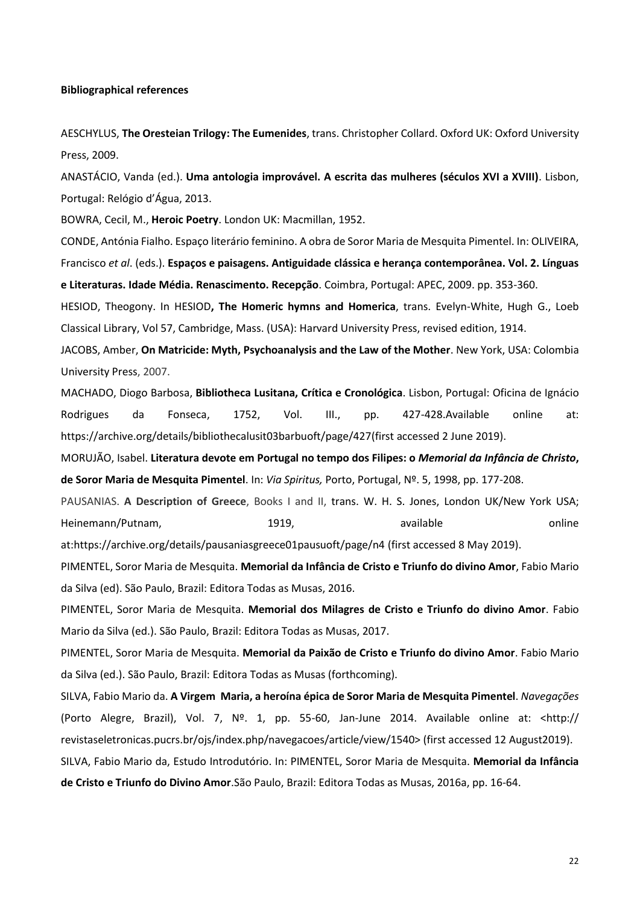#### **Bibliographical references**

AESCHYLUS, **[The Oresteian Trilogy:](https://www.amazon.co.uk/dp/1542709237/ref=rdr_ext_tmb) The Eumenides**, trans. Christopher Collard. Oxford UK: Oxford University Press, 2009.

ANASTÁCIO, Vanda (ed.). **Uma antologia improvável. A escrita das mulheres (séculos XVI a XVIII)**. Lisbon, Portugal: Relógio d'Água, 2013.

BOWRA, Cecil, M., **Heroic Poetry**. London UK: Macmillan, 1952.

CONDE, Antónia Fialho. Espaço literário feminino. A obra de Soror Maria de Mesquita Pimentel. In: OLIVEIRA, Francisco *et al*. (eds.). **Espaços e paisagens. Antiguidade clássica e herança contemporânea. Vol. 2. Línguas e Literaturas. Idade Média. Renascimento. Recepção**. Coimbra, Portugal: APEC, 2009. pp. 353-360.

HESIOD, Theogony. In HESIOD**, The Homeric hymns and Homerica**, trans. Evelyn-White, Hugh G., Loeb Classical Library, Vol 57, Cambridge, Mass. (USA): Harvard University Press, revised edition, 1914.

JACOBS, Amber, **On Matricide: Myth, Psychoanalysis and the Law of the Mother**. New York, USA: Colombia University Press, 2007.

MACHADO, Diogo Barbosa, **Bibliotheca Lusitana, Crítica e Cronológica**. Lisbon, Portugal: Oficina de Ignácio Rodrigues da Fonseca, 1752, Vol. III., pp. 427-428.Available online at: [https://archive.org/details/bibliothecalusit03barbuoft/page/427\(](https://archive.org/details/bibliothecalusit03barbuoft/page/427)first accessed 2 June 2019).

MORUJÃO, Isabel. **Literatura devote em Portugal no tempo dos Filipes: o** *Memorial da Infância de Christo***, de Soror Maria de Mesquita Pimentel**. In: *Via Spiritus,* Porto, Portugal, Nº. 5, 1998, pp. 177-208.

PAUSANIAS. **A Description of Greece**, Books I and II, trans. W. H. S. Jones, London UK/New York USA; Heinemann/Putnam, and the state online online online available continues online

at[:https://archive.org/details/pausaniasgreece01pausuoft/page/n4](https://archive.org/%20details/pausaniasgreece01pausuoft/page/n4) (first accessed 8 May 2019).

PIMENTEL, Soror Maria de Mesquita. **Memorial da Infância de Cristo e Triunfo do divino Amor**, Fabio Mario da Silva (ed). São Paulo, Brazil: Editora Todas as Musas, 2016.

PIMENTEL, Soror Maria de Mesquita. **Memorial dos Milagres de Cristo e Triunfo do divino Amor**. Fabio Mario da Silva (ed.). São Paulo, Brazil: Editora Todas as Musas, 2017.

PIMENTEL, Soror Maria de Mesquita. **Memorial da Paixão de Cristo e Triunfo do divino Amor**. Fabio Mario da Silva (ed.). São Paulo, Brazil: Editora Todas as Musas (forthcoming).

SILVA, Fabio Mario da. **A Virgem Maria, a heroína épica de Soror Maria de Mesquita Pimentel**. *Navegações* (Porto Alegre, Brazil), Vol. 7, Nº. 1, pp. 55-60, Jan-June 2014. Available online at: <http:// revistaseletronicas.pucrs.br/ojs/index.php/navegacoes/article/view/1540> (first accessed 12 August2019).

SILVA, Fabio Mario da, Estudo Introdutório. In: PIMENTEL, Soror Maria de Mesquita. **Memorial da Infância de Cristo e Triunfo do Divino Amor**.São Paulo, Brazil: Editora Todas as Musas, 2016a, pp. 16-64.